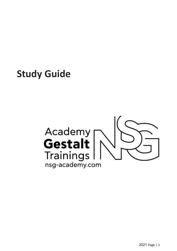**Study Guide**

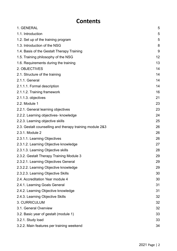### **Contents**

| 1. GENERAL                                               | 5  |
|----------------------------------------------------------|----|
| 1.1. Introduction                                        | 5  |
| 1.2. Set up of the training program                      | 5  |
| 1.3. Introduction of the NSG                             | 8  |
| 1.4. Basis of the Gestalt Therapy Training               | 9  |
| 1.5. Training philosophy of the NSG                      | 12 |
| 1.6. Requirements during the training                    | 13 |
| 2. OBJECTIVES                                            | 14 |
| 2.1. Structure of the training                           | 14 |
| 2.1.1. General                                           | 14 |
| 2.1.1.1. Formal description                              | 14 |
| 2.1.1.2. Training framework                              | 16 |
| 2.1.1.3. objectives                                      | 21 |
| 2.2. Module 1                                            | 23 |
| 2.2.1. General learning objectives                       | 23 |
| 2.2.2. Learning objectives- knowledge                    | 24 |
| 2.2.3. Learning objective skills                         | 25 |
| 2.3. Gestalt counselling and therapy training module 2&3 | 26 |
| 2.3.1. Module 2                                          | 26 |
| 2.3.1.1. Learning Objectives                             | 26 |
| 2.3.1.2. Learning Objective knowledge                    | 27 |
| 2.3.1.3. Learning Objective skills                       | 28 |
| 2.3.2. Gestalt Therapy Training Module 3                 | 29 |
| 2.3.2.1. Learning Objectives General                     | 29 |
| 2.3.2.2. Learning Objective knowledge                    | 29 |
| 2.3.2.3. Learning Objective Skills                       | 30 |
| 2.4. Accreditation Year module 4                         | 30 |
| 2.4.1. Learning Goals General                            | 31 |
| 2.4.2. Learning Objective knowledge                      | 31 |
| 2.4.3. Learning Objective Skills                         | 32 |
| 3. CURRICULUM                                            | 32 |
| 3.1. General Overview                                    | 32 |
| 3.2. Basic year of gestalt (module 1)                    | 33 |
| 3.2.1. Study load                                        | 33 |
| 3.2.2. Main features per training weekend                | 34 |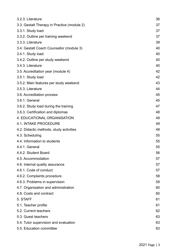| 3.2.3. Literature                           | 36 |
|---------------------------------------------|----|
| 3.3. Gestalt Therapy in Practice (module 2) | 37 |
| 3.3.1. Study load                           | 37 |
| 3.3.2. Outline per training weekend         | 37 |
| 3.3.3. Literature                           | 39 |
| 3.4. Gestalt Coach Counsellor (module 3)    | 40 |
| 3.4.1. Study load                           | 40 |
| 3.4.2. Outline per study weekend            | 40 |
| 3.4.3. Literature                           | 40 |
| 3.5. Accreditation year (module 4)          | 42 |
| 3.5.1. Study load                           | 42 |
| 3.5.2. Main features per study weekend      | 43 |
| 3.5.3. Literature                           | 44 |
| 3.6. Accreditation process                  | 45 |
| 3.6.1. General                              | 45 |
| 3.6.2. Study load during the training       | 47 |
| 3.6.3. Certification and diplomas           | 48 |
| 4. EDUCATIONAL ORGANISATION                 | 49 |
| <b>4.1. INTAKE PROCEDURE</b>                | 49 |
| 4.2. Didactic methods, study activities     | 49 |
| 4.3. Scheduling                             | 55 |
| 4.4. Information to students                | 55 |
| 4.4.1. General                              | 55 |
| 4.4.2. Student Board                        | 56 |
| 4.5. Accommodation                          | 57 |
| 4.6. Internal quality assurance             | 57 |
| 4.6.1. Code of conduct                      | 57 |
| 4.6.2. Complaints procedure                 | 58 |
| 4.6.3. Problems in supervision              | 59 |
| 4.7. Organisation and administration        | 60 |
| 4.8. Costs and contract                     | 60 |
| 5. STAFF                                    | 61 |
| 5.1. Teacher profile                        | 61 |
| 5.2. Current teachers                       | 62 |
| 5.3. Guest teachers                         | 63 |
| 5.4. Tutor supervision and evaluation       | 63 |
| 5.5. Education committee                    | 63 |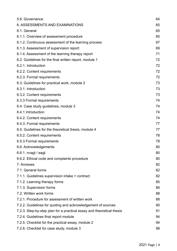| 5.6. Governance                                                       | 64 |
|-----------------------------------------------------------------------|----|
| 6. ASSESSMENTS AND EXAMINATIONS                                       | 65 |
| 6.1. General                                                          | 65 |
| 6.1.1. Overview of assessment procedure                               | 65 |
| 6.1.2. Continuous assessment of the learning process                  | 67 |
| 6.1.3. Assessment of supervision report                               | 69 |
| 6.1.4. Assessment of the learning therapy report                      | 71 |
| 6.2. Guidelines for the final written report, module 1                | 72 |
| 6.2.1. Introduction                                                   | 72 |
| 6.2.2. Content requirements                                           | 72 |
| 6.2.3. Formal requirements                                            | 72 |
| 6.3. Guidelines for practical work, module 2                          | 73 |
| 6.3.1. Introduction                                                   | 73 |
| 6.3.2. Content requirements                                           | 73 |
| 6.3.3 Formal requirements                                             | 74 |
| 6.4. Case study guidelines, module 3                                  | 74 |
| 6.4.1 Introduction                                                    | 74 |
| 6.4.2. Content requirements                                           | 74 |
| 6.4.3. Formal requirements                                            | 77 |
| 6.5. Guidelines for the theoretical thesis, module 4                  | 77 |
| 6.5.2. Content requirements                                           | 78 |
| 6.5.3 Formal requirements                                             | 78 |
| 6.6. Acknowledgements                                                 | 80 |
| $6.6.1.$ nvagt / eagt                                                 | 80 |
| 6.6.2. Ethical code and complaints procedure                          | 80 |
| 7. Annexes                                                            | 82 |
| 7.1. General forms                                                    | 82 |
| 7.1.1. Guidelines supervision intake + contract                       | 82 |
| 7.1.2. Learning therapy forms                                         | 85 |
| 7.1.3. Supervision forms                                              | 86 |
| 7.2. Written work forms                                               | 88 |
| 7.2.1. Procedure for assessment of written work                       | 88 |
| 7.2.2. Guidelines for quoting and acknowledgement of sources          | 90 |
| 7.2.3. Step-by-step plan for a practical essay and theoretical thesis | 91 |
| 7.2.4. Guidelines final report module                                 | 94 |
| 7.2.5. Checklist for the practical essay, module 2                    | 94 |
| 7.2.6. Checklist for case study, module 3                             | 98 |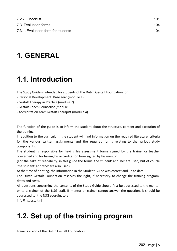| 7.2.7. Checklist                    | 101 |  |
|-------------------------------------|-----|--|
| 7.3. Evaluation forms               | 104 |  |
| 7.3.1. Evaluation form for students | 104 |  |

### <span id="page-4-0"></span>**1. GENERAL**

## <span id="page-4-1"></span>**1.1. Introduction**

The Study Guide is intended for students of the Dutch Gestalt Foundation for

- Personal Development: Base Year (module 1)

- Gestalt Therapy in Practice (module 2)

- Gestalt Coach Counsellor (module 3)
- Accreditation Year: Gestalt Therapist (module 4)

The function of the guide is to inform the student about the structure, content and execution of the training.

In addition to the curriculum, the student will find information on the required literature, criteria for the various written assignments and the required forms relating to the various study components.

The student is responsible for having his assessment forms signed by the trainer or teacher concerned and for having his accreditation form signed by his mentor.

(For the sake of readability, in this guide the terms 'the student' and 'he' are used, but of course 'the student' and 'she' are also used).

At the time of printing, the information in the Student Guide was correct and up to date.

The Dutch Gestalt Foundation reserves the right, if necessary, to change the training program, dates and costs.

All questions concerning the contents of the Study Guide should first be addressed to the mentor or to a trainer of the NSG staff. If mentor or trainer cannot answer the question, it should be addressed to: the NSG coordinators

[info@nsgestalt.nl](http://../../../../../tmp/info@nsgestalt.nl)

## <span id="page-4-2"></span>**1.2. Set up of the training program**

Training vision of the Dutch Gestalt Foundation.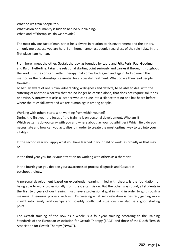What do we train people for? What vision of humanity is hidden behind our training? What kind of 'therapists' do we provide?

The most obvious fact of man is that he is always in relation to his environment and the others. I am only me because you are here. I am human amongst people regardless of the role I play. In the first place I am human.

From here I meet the other. Gestalt therapy, as founded by Laura and Fritz Perls, Paul Goodman and Ralph Hefferline, takes the relational starting point seriously and carries it through throughout the work. It's the constant within therapy that comes back again and again. Not so much the method as the relationship is essential for successful treatment. What do we then lead people towards?

To befully aware of one's own vulnerability, willingness and defects, to be able to deal with the suffering of another. A sorrow that can no longer be carried alone, that does not require solutions or advice. A sorrow that asks a listener who can tune into a silence that no one has heard before, where the roles fall away and we are human again among people.

Working with others starts with working from within yourself.

During the first year the focus of the training is on personal development. Who am I? Which patterns do you carry with you and where about lay your possibilities? Which field do you necessitate and how can you actualize it in order to create the most optimal way to tap into your vitality?

In the second year you apply what you have learned in your field of work, as broadly as that may be.

In the third year you focus your attention on working with others as a therapist.

In the fourth year you deepen your awareness of process diagnosis and Gestalt in psychopathology.

A personal development based on experiential learning, filled with theory, is the foundation for being able to work professionally from the Gestalt vision. But the other way round, all students in the first two years of our training must have a professional goal in mind in order to go through a meaningful learning process with us. Discovering what self-realisation is desired, gaining more insight into family relationships and possibly conflictual situations can also be a good starting point.

The Gestalt training of the NSG as a whole is a four-year training according to the Training Standards of the European Association for Gestalt Therapy (EAGT) and those of the Dutch Flemish Association for Gestalt Therapy (NVAGT).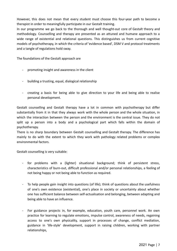However, this does not mean that every student must choose this four-year path to become a therapist in order to meaningfully participate in our Gestalt training.

In our programme we go back to the thorough and well thought-out core of Gestalt theory and methodology. Counselling and therapy are presented as an attuned and humane approach to a wide range of existential and relational questions. This distinguishes us from current cognitive models of psychotherapy, in which the criteria of 'evidence based', DSM V and protocol treatments and a tangle of regulations hold sway.

The foundations of the Gestalt approach are

- promoting insight and awareness in the client
- building a trusting, equal, dialogical relationship
- creating a basis for being able to give direction to your life and being able to realise personal development.

Gestalt counselling and Gestalt therapy have a lot in common with psychotherapy but differ substantially from it in that they always work with the whole person and the whole situation, in which the interaction between the person and the environment is the central issue. They do not split up a person into a body and a psychological part which falls within the domain of psychotherapy.

There is no sharp boundary between Gestalt counselling and Gestalt therapy. The difference has mainly to do with the extent to which they work with pathology related problems or complex environmental factors.

Gestalt counselling is very suitable:

- for problems with a (lighter) situational background; think of persistent stress, characteristics of burn-out, difficult professional and/or personal relationships, a feeling of not being happy or not being able to function as required.
- To help people gain insight into questions (of life); think of questions about the usefulness of one's own existence (existential), one's place in society or uncertainty about whether one has sufficient balance between self-actualisation and belonging, between adapting and being able to have an influence.
- For guidance projects in, for example, education, youth care, personnel work. An own practice for learning to regulate emotions, impulse control, awareness of needs, regaining access to one's own physicality, support in processes of change, conflict mediation, guidance in 'life-style' development, support in raising children, working with partner relationships,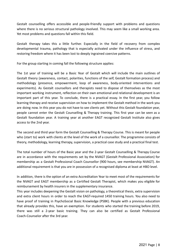Gestalt counselling offers accessible and people-friendly support with problems and questions where there is no serious structural pathology involved. This may seem like a small working area. Yet most problems and questions fall within this field.

Gestalt therapy takes this a little further. Especially in the field of recovery from complex developmental trauma, pathology that is especially activated under the influence of stress, and restoring freedom where it has been lost to deeply ingrained coercive patterns.

For the group starting in coming fall the following structure applies:

The 1st year of training will be a Basic Year of Gestalt which will include the main outlines of Gestalt theory (awareness, contact, polarities, functions of the self, Gestalt formation process) and methodology (presence, empowerment, loop of awareness, body-oriented interventions and experiments). As Gestalt counsellors and therapists need to dispose of themselves as the most important working instrument, reflection on their own emotional and relational development is an important part of this year. To conclude, there is a practical essay. In the first year, you follow learning therapy and receive supervision on how to implement the Gestalt method in the work you are doing now. In this year you do not have to see clients yet. Without this Gestalt foundation year, people cannot enter the Gestalt Counselling & Therapy training. This first year can be seen as a Gestalt foundation year. A training year at another EAGT recognized Gestalt Institute also gives access to the 2nd year.

The second and third year form the Gestalt Counselling & Therapy Course. This is meant for people who (start to) work with clients at the level of the work of a counsellor. The programme consists of theory, methodology, learning therapy, supervision, a practical case study and a practical final test.

The total number of hours of the Basic year and the 2-year Gestalt Counselling & Therapy Course are in accordance with the requirements set by the NVAGT (Gestalt Professional Association) for membership as a Gestalt Professional Coach Counsellor (900 hours, see membership NVAGT). An additional requirement is that you are in possession of a recognised diploma at least at HBO level.

In addition, there is the option of an extra Accreditation Year to meet most of the requirements for the NVAGT and EAGT membership as a Certified Gestalt Therapist, which makes you eligible for reimbursement by health insurers in the supplementary insurance.

This year includes deepening the Gestalt vision on pathology, a theoretical thesis, extra supervision and extra client hours in order to reach the EAGT-required 1450 training hours. You also need to have proof of training in PsychoSocial Basic Knowledge (PSBK). People with a previous education that already provides this, have an exemption. For students who started the training before 2019, there was still a 2-year basic training. They can also be certified as Gestalt Professional Coach-Counselor after the 3rd year.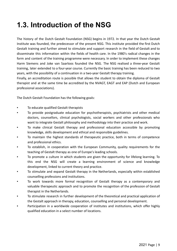# <span id="page-8-0"></span>**1.3. Introduction of the NSG**

The history of the Dutch Gestalt Foundation (NSG) begins in 1972. In that year the Dutch Gestalt Institute was founded, the predecessor of the present NSG. This institute provided the first Dutch Gestalt training and further aimed to stimulate and support research in the field of Gestalt and to disseminate this information within the fields of health care. In the 1980's radical changes in the form and content of the training programme were necessary. In order to implement these changes Harm Siemens and Joke van Saarloos founded the NSG. The NSG realised a three-year Gestalt training, later extended to a four-year course. Currently the basic training has been reduced to two years, with the possibility of a continuation in a two-year Gestalt therapy training.

Finally, an accreditation route is possible that allows the student to obtain the diploma of Gestalt therapist and at the same time be accredited by the NVAGT, EAGT and EAP (Dutch and European professional associations).

The Dutch Gestalt Foundation has the following goals:

- To educate qualified Gestalt therapists
- To provide postgraduate education for psychotherapists, psychiatrists and other medical doctors, counsellors, clinical psychologists, social workers and other professionals who want to integrate Gestalt philosophy and methodology into their practice and work.
- To make clinical Gestalt therapy and professional education accessible by promoting knowledge, skills development and ethical and responsible guidelines.
- To maintain the highest standards of therapeutic practice, both in terms of competence and professional ethics.
- To establish, in cooperation with the European Community, quality requirements for the teaching of Gestalt therapy as one of Europe's leading schools.
- To promote a culture in which students are given the opportunity for lifelong learning. To this end the NSG will create a learning environment of science and knowledge development, linked to current theory and practice.
- To stimulate and expand Gestalt therapy in the Netherlands, especially within established counselling professions and institutions.
- To work towards more formal recognition of Gestalt therapy as a contemporary and valuable therapeutic approach and to promote the recognition of the profession of Gestalt therapist in the Netherlands.
- To stimulate research in further development of the theoretical and practical application of the Gestalt approach in therapy, education, counselling and personal development.
- Participation in a worldwide cooperation of institutes and institutions, which offer highly qualified education in a select number of locations.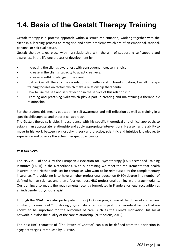## <span id="page-9-0"></span>**1.4. Basis of the Gestalt Therapy Training**

Gestalt therapy is a process approach within a structured situation, working together with the client in a learning process to recognise and solve problems which are of an emotional, rational, personal or spiritual nature.

Gestalt therapy takes place within a relationship with the aim of supporting self-support and awareness in the lifelong process of development by:

- Increasing the client's awareness with consequent increase in choice.
- Increase in the client's capacity to adapt creatively.
- Increase in self-knowledge of the client
- Just as Gestalt therapy uses a relationship within a structured situation, Gestalt therapy training focuses on factors which make a relationship therapeutic:
- How to use the self and self-reflection in the service of this relationship
- Learning and practising skills which play a part in creating and maintaining a therapeutic relationship.

For the student this means education in self-awareness and self-reflection as well as training in a specific philosophical and theoretical approach.

The Gestalt therapist is able, in accordance with his specific theoretical and clinical approach, to establish an appropriate relationship and apply appropriate interventions. He also has the ability to move in his work between philosophy, theory and practice, scientific and intuitive knowledge, to experience and observe the actual therapeutic encounter.

### *Post HBO level.*

The NSG is 1 of the 4 by the European Association for Psychotherapy (EAP) accredited Training Institutes (EAPTI) in the Netherlands. With our training we meet the requirements that health insurers in the Netherlands set for therapists who want to be reimbursed by the complementary insurance. The guideline is to have a higher professional education (HBO) degree in a number of defined human sciences and then a four-year post-HBO professional training in a therapy modality. Our training also meets the requirements recently formulated in Flanders for legal recognition as an independent psychotherapist.

Through the NVAGT we also participate in the QIT Online programme of the University of Leuven, in which, by means of "monitoring", systematic attention is paid to atheoretical factors that are known to be important for the outcomes of care, such as the client's motivation, his social network, but also the quality of the care relationship. (N.Stinckens, 2012)

The post-HBO character of "The Power of Contact" can also be defined from the distinction in agogic strategies introduced by P. Freire.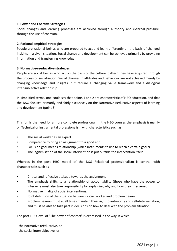### **1. Power and Coercive Strategies**

Social changes and learning processes are achieved through authority and external pressure, through the use of coercion.

### **2. Rational empirical strategies**

People are rational beings who are prepared to act and learn differently on the basis of changed insights in a given situation. Social change and development can be achieved primarily by providing information and transferring knowledge.

### **3. Normative-reeducative strategies**

People are social beings who act on the basis of the cultural pattern they have acquired through the process of socialisation. Social changes in attitudes and behaviour are not achieved merely by changing knowledge and insights, but require a changing value framework and a dialogical inter-subjective relationship.

In simplified terms, one could say that points 1 and 2 are characteristic of HBO education, and that the NSG focuses primarily and fairly exclusively on the Normative-Reducative aspects of learning and development (point 3).

This fulfils the need for a more complete professional. In the HBO courses the emphasis is mainly on Technical or instrumental professionalism with characteristics such as

- The social worker as an expert
- Competence to bring an assignment to a good end
- Focus on goal-means relationship (which instruments to use to reach a certain goal?)
- The legitimisation of the social intervention is put outside the intervention itself.

Whereas in the post HBO model of the NSG Relational professionalism is central, with characteristics such as

- Critical and reflective attitude towards the assignment
- The emphasis shifts to a relationship of accountability (those who have the power to intervene must also take responsibility for explaining why and how they intervened)
- Normative finality of social interventions.
- Joint definition of the situation between social worker and problem bearer
- Problem bearers must at all times maintain their right to autonomy and self-determination, and must be able to take part in decisions on how to deal with the problem situation.

The post-HBO level of "The power of contact" is expressed in the way in which

- the normative reëducative, or

- the social intersubjective, or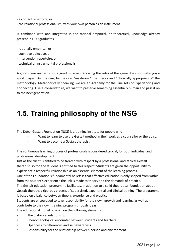- a contact repertoire, or

- the relational professionalism, with your own person as an instrument

is combined with and integrated in the rational empirical, or theoretical, knowledge already present in HBO graduates.

- rationally empirical, or
- cognitive objective, or
- intervention repertoire, or
- technical or instrumental professionalism.

A good score reader is not a good musician. Knowing the rules of the game does not make you a good player. Our training focuses on "mastering" the theory and "physically appropriating" the methodology. Metaphorically speaking, we are an Academy for the Fine Arts of Experiencing and Connecting. Like a conservatoire, we want to preserve something essentially human and pass it on to the next generation.

### <span id="page-11-0"></span>**1.5. Training philosophy of the NSG**

The Dutch Gestalt Foundation (NSG) is a training institute for people who

- Want to learn to use the Gestalt method in their work as a counsellor or therapist.
- Want to become a Gestalt therapist.

The continuous learning process of professionals is considered crucial, for both individual and professional development.

Just as the client is entitled to be treated with respect by a professional and ethical Gestalt therapist, so too the student is entitled to this respect. Students are given the opportunity to experience a respectful relationship as an essential element of the learning process.

One of the Foundation's fundamental beliefs is that effective education is only shaped from within; from the student's experience the link is made to theory and the demands of practice.

The Gestalt education programme facilitates, in addition to a solid theoretical foundation about Gestalt therapy, a rigorous process of supervised, experiential and clinical training. The programme is based on a balance between theory, experience and practice.

Students are encouraged to take responsibility for their own growth and learning as well as contribute to their own training program through ideas.

The educational model is based on the following elements:

- The dialogical relationship
- Phenomenological encounter between students and teachers
- Openness to differences and self-awareness
- Responsibility for the relationship between person and environment.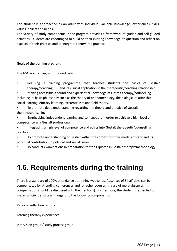The student is approached as an adult with individual valuable knowledge, experiences, skills, values, beliefs and needs.

The variety of study components in the program provides a framework of guided and self-guided activities. Students are encouraged to build on their existing knowledge, to question and reflect on aspects of their practice and to integrate theory into practice.

### **Goals of the training program.**

The NSG is a training institute dedicated to:

- Realising a training programme that teaches students the basics of Gestalt therapy/coaching and its clinical application in the therapeutic/coaching relationship.
- Making accessible a sound and experiential knowledge of Gestalt therapy/counselling including its basic philosophy such as the theory of phenomenology, the dialogic relationship, social learning, efficacy learning, existentialism and field theory.
- To promote deep understanding regarding the theory and practice of Gestalt therapy/counselling.
- Emphasising independent learning and self-support in order to achieve a high level of competence as a Gestalt professional
- Integrating a high level of competence and ethics into Gestalt therapeutic/counselling practice
- To promote understanding of Gestalt within the context of other models of care and its potential contribution to political and social issues.
- To conduct examinations in preparation for the Diploma in Gestalt therapy/methodology.

## <span id="page-12-0"></span>**1.6. Requirements during the training**

There is a standard of 100% attendance at training weekends. Absences of 5 half-days can be compensated by attending conferences and refresher courses. In case of more absences, compensation should be discussed with the mentor(s). Furthermore, the student is expected to make sufficient efforts with regard to the following components.

Personal reflection reports

Learning therapy experiences

Intervision group / study process group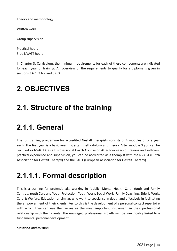Theory and methodology

Written work

Group supervision

Practical hours Free NVAGT hours

In Chapter 3, Curriculum, the minimum requirements for each of these components are indicated for each year of training. An overview of the requirements to qualify for a diploma is given in sections 3.6.1, 3.6.2 and 3.6.3.

## <span id="page-13-0"></span>**2. OBJECTIVES**

## <span id="page-13-1"></span>**2.1. Structure of the training**

## <span id="page-13-2"></span>**2.1.1. General**

The full training programme for accredited Gestalt therapists consists of 4 modules of one year each. The first year is a basic year in Gestalt methodology and theory. After module 3 you can be certified as NVAGT Gestalt Professional Coach Counselor. After four years of training and sufficient practical experience and supervision, you can be accredited as a therapist with the NVAGT (Dutch Association for Gestalt Therapy) and the EAGT (European Association for Gestalt Therapy).

## <span id="page-13-3"></span>**2.1.1.1. Formal description**

This is a training for professionals, working in (public) Mental Health Care, Youth and Family Centres, Youth Care and Youth Protection, Youth Work, Social Work, Family Coaching, Elderly Work, Care & Welfare, Education or similar, who want to specialise in depth and effectively in facilitating the empowerment of their clients. Key to this is the development of a personal contact repertoire with which they can use themselves as the most important instrument in their professional relationship with their clients. The envisaged professional growth will be inextricably linked to a fundamental personal development.

### *Situation and mission.*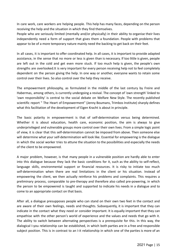In care work, care workers are helping people. This help has many faces, depending on the person receiving the help and the situation in which they find themselves.

People who are seriously limited (mentally and/or physically) in their ability to organise their lives independently need a form of support that gives them a foundation. People with problems that appear to be of a more temporary nature mainly need the backing to get back on their feet.

In all cases, it is important to offer coordinated help. In all cases, it is important to provide adapted assistance, in the sense that no more or less is given than is necessary. If too little is given, people are left out in the cold and get even more stuck. If too much help is given, the people's own strengths are overlooked.It is very important for every person receiving help not to feel completely dependent on the person giving the help. In one way or another, everyone wants to retain some control over their lives. So also control over the help they receive.

The empowerment philosophy, as formulated in the middle of the last century by Freire and Habermas, among others, is currently undergoing a revival. The concept of 'own strength' linked to 'own responsibility' is central to the social debate on Welfare New Style. The recently published scientific report " The Heart of Empowerment" (Jenny Boumans, Trimbos Institute) sharply defines what this facilitation of the development of Eigen Kracht is about in principle.

The basic polarity in empowerment is that of self-determination versus being determined. Whether it is about education, health care, economic position, the aim is always to give underprivileged and vulnerable groups more control over their own lives. From a simple logic point of view, it is clear that this self-determination cannot be imposed from above. Then someone else will determine what your self-determination will look like. Essential for empowering is the dialogue in which the social worker tries to attune the situation to the possibilities and especially the needs of the client to be empowered.

A major problem, however, is that many people in a vulnerable position are hardly able to enter into this dialogue because they lack the basic conditions for it, such as the ability to self-reflect, language skills, environmental support or financial resources. It is risky to initiate too much self-determination when there are real limitations in the client or his situation. Instead of empowering the client, we then actually reinforce his problems and complaints. This requires a preliminary process, comparable to pre-therapy and therefore also called pre-powering, in which the person to be empowered is taught and supported to indicate his needs in a dialogue and to come to an appropriate contact on that basis.

After all, a dialogue presupposes people who can stand on their own two feet in the contact and are aware of their own feelings, needs and thoughts. Subsequently, it is important that they can indicate in the contact what they need or consider important. It is equally important that they can empathise with the other person's world of experience and the values and needs that go with it. The ability to switch between alternating perspectives is a prerequisite for this. In this way, the dialogical I-you relationship can be established, in which both parties are in a free and responsible subject position. This is in contrast to an I-it relationship in which one of the parties is more of an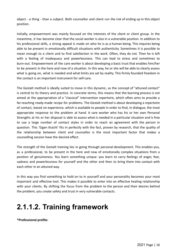object - a thing - than a subject. Both counsellor and client run the risk of ending up in this object position.

Initially, empowerment was mainly focused on the interests of the client or client group. In the meantime, it has become clear that the social worker is also in a vulnerable position. In addition to his professional skills, a strong appeal is made on who he is as a human being. This requires being able to be present in emotionally difficult situations with authenticity. Sometimes it is possible to mean enough to a client and to find satisfaction in the work. Often, they do not. Then he is left with a feeling of inadequacy and powerlessness. This can lead to stress and sometimes to burn-out. Empowerment of the care worker is about developing a basic trust that enables him/her to be present in the here and now of a situation. In this way, he or she will be able to clearly assess what is going on, what is needed and what limits are set by reality. This firmly founded freedom in the contact is an important instrument for self-care.

The Gestalt method is ideally suited to move in this dynamic, as the concept of "attuned contact" is central to its theory and practice. In concrete terms, this means that the learning process is not aimed at the appropriation of a "classical" intervention repertoire, which often aims to provide a far-reaching ready-made recipe for problems. The Gestalt method is about developing a repertoire of contact, based on experience, which is available to people in order to find, in dialogue, the most appropriate response to the problem at hand. A care worker who has his or her own Personal Strengths at his or her disposal is able to assess what is needed in a particular situation and is free to use a large number of contact styles in order to reach an agreement with the person in question. This 'Eigen Kracht' fits in perfectly with the fact, proven by research, that the quality of the relationship between client and counsellor is the most important factor that makes a counselling session have the desired effect.

The strength of the Gestalt training lies in going through personal development. This enables you, as a professional, to be present in the here and now of emotionally complex situations from a position of genuineness. You learn something unique: you learn to carry feelings of anger, fear, sadness and powerlessness for yourself and the other and then to bring them into contact with each other in an attuned way.

In this way you find something to hold on to in yourself and your personality becomes your most important and effective tool. This makes it possible to enter into an effective healing relationship with your clients. By shifting the focus from the problem to the person and their desires behind the problem, you create safety and trust in very vulnerable contacts.

## <span id="page-15-0"></span>**2.1.1.2. Training framework**

**\*Professional profile:**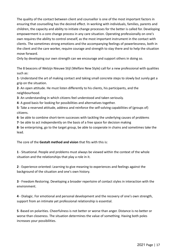The quality of the contact between client and counsellor is one of the most important factors in ensuring that counselling has the desired effect. In working with individuals, families, parents and children, the capacity and ability to initiate change processes for the better is called for. Developing empowerment is a core change process in any care situation. Operating professionally on one's own requires the ability to control oneself, as the most important instrument in the contact with clients. The sometimes strong emotions and the accompanying feelings of powerlessness, both in the client and the care worker, require courage and strength to stay there and to help the situation move forward.

Only by developing our own strength can we encourage and support others in doing so.

The 8 beacons of Welzijn Nieuwe Stijl (Welfare New Style) call for a new professional with qualities such as:

**1**- Understand the art of making contact and taking small concrete steps to slowly but surely get a grip on the situation.

**2**- An open attitude. He must listen differently to his clients, his participants, and the neighbourhood.

**3**- An understanding in which citizens feel understood and taken seriously.

**4**- A good basis for looking for possibilities and alternatives together.

**5**- Take a reserved attitude, address and reinforce the self-solving capabilities of (groups of) citizens.

**6**- be able to combine short-term successes with tackling the underlying causes of problems

**7**- be able to act independently on the basis of a free space for decision making

**8**- be enterprising, go to the target group, be able to cooperate in chains and sometimes take the lead.

The core of the **Gestalt method and vision** that fits with this is:

**1** - Situational. People and problems must always be viewed within the context of the whole situation and the relationships that play a role in it.

**2** - Experience-oriented: Learning to give meaning to experiences and feelings against the background of the situation and one's own history.

**3** - Freedom Restoring. Developing a broader repertoire of contact styles in interaction with the environment.

**4** - Dialogic. For emotional and personal development and the recovery of one's own strength, support from an intimate yet professional relationship is essential.

**5** -Based on polarities. Cheerfulness is not better or worse than anger. Distance is no better or worse than closeness. The situation determines the value of something. Having both poles increases your possibilities.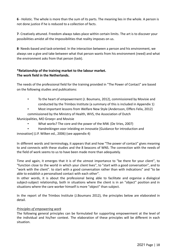**6** - Holistic. The whole is more than the sum of its parts. The meaning lies in the whole. A person is not done justice if he is reduced to a collection of facts.

**7**- Creatively attuned. Freedom always takes place within certain limits. The art is to discover your possibilities amidst all the impossibilities that reality imposes on us.

**8**- Needs-based and task-oriented. In the interaction between a person and his environment, we always see a give and take between what that person wants from his environment (need) and what the environment asks from that person (task).

### **\*Relationship of the training market to the labour market. The work field in the Netherlands.**

The needs of the professional field for the training provided in "The Power of Contact" are based on the following studies and publications:

- To the heart of empowerment (J. Boumans, 2012), commissioned by Movisie and conducted by the Trimbos Institute (a summary of this is included in Appendix 1)
	- Most important lessons from Welfare New Style (Andersson, Elffers Felix, 2012)

commissioned by the Ministry of Health, WVS, the Association of Dutch

Municipalities, MO Groep+ and Movisie

- What works? The core and the power of the MW. (De Vries, 2007)
- Handreikingen voor inleiding en innovatie [Guidance for introduction and

innovation] (J.P. Wilken ed., 2006) (see appendix 4)

In different words and terminology, it appears that and how "The power of contact" gives meaning to and connects with these studies and the 8 beacons of WNS. The connection with the needs of the field of work seems to us to have been made more than adequately.

Time and again, it emerges that it is of the utmost importance to "be there for your client", to "function close to the world in which your client lives", to "start with a good conversation", and to "work with the client". to start with a good conversation rather than with indications" and "to be able to establish a personalised contact with each other".

In other words, it is about the professional being able to facilitate and organise a dialogical subject-subject relationship, both in situations where the client is in an "object" position and in situations where the care worker himself is more "object" than subject.

In the report of the Trimbos Institute (J.Boumans 2012), the principles below are elaborated in detail.

### *Principles of empowering work*

The following general principles can be formulated for supporting empowerment at the level of the individual and his/her context. The elaboration of these principles will be different in each situation.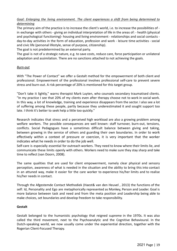### *Goal: Enlarging the living environment. The client experiences a shift from being determined to determining*

The primary aim of the practice is to increase the client's world, i.e. to increase the possibilities of in exchange with others - giving an individual interpretation of life in the areas of: - health (physical and psychological functioning)- housing and living environment - relationships and social contacts day-to-day activities in the form of education, profession and work - leisure time activities - social and civic life (personal lifestyle, sense of purpose, citizenship).

The goal is not predetermined by an external party.

The goal is not of a strategic nature, e.g. to save costs, reduce care, force participation or unilateral adaptation and assimilation. There are no sanctions attached to not achieving the goals.

### *Burn-out*

With "The Power of Contact" we offer a Gestalt method for the empowerment of both client and professional. Empowerment of the professional involves professional self-care to prevent severe stress and burn-out. A risk percentage of 20% is mentioned for this target group.

"Don't take it lightly," warns therapist Mark Luyten, who counsels secondary traumatised clients. "In my practice I see that 20% of my clients even after therapy choose not to work in social work. In this way, a lot of knowledge, training and experience disappears from the sector. I also see a lot of suffering among these people, partly because they underestimated it and sought support too late. I think it's better to seek help a little too quickly."

Research indicates that stress and a perceived high workload are also a growing problem among welfare workers. The possible consequences are well known: staff turnover, burn-out, tensions, conflicts. Social Pedagogues have a sometimes difficult balance between giving and taking, between growing in the service of others and guarding their own boundaries. In order to work effectively within a context of pressure or coercion, it is very important that the worker indicates what he needs in order to do the job well.

Self-care is especially essential for outreach workers. They need to know where their limits lie, and communicate these limits openly with others. Workers need to make sure they stay sharp and take time to reflect (van Doorn, 2008).

The same qualities that are used for client empowerment, namely clear physical and sensory perception, awareness of what is needed in the situation and the ability to bring this into contact in an attuned way, make it easier for the care worker to experience his/her limits and to realise his/her needs in contact.

Through the Afgestemde Contact Methodiek (Haest& van den Heuvel , 2013) the functions of the self: Id, Personality and Ego are metaphorically represented as Monkey, Person and Leader. Goal is more balance between task and need and from the meta position and Leadership being able to make choices, set boundaries and develop freedom to take responsibility.

### **Gestalt**

Gestalt belonged to the humanistic psychology that reigned supreme in the 1970s. It was also called the third movement, next to the Psychoanalytic and the Cognitive Behavioural. In the Dutch-speaking world, we now usually come under the experiential direction, together with the Rogerian Client-Focused Therapy.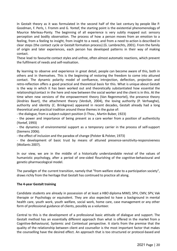In Gestalt theory as it was formulated in the second half of the last century by people like P. Goodman, F. Perls, I. Fromm and G. Yontef, the starting point is the existential phenomenology of Maurice Merleau-Ponty. The beginning of all experience is very subtly mapped out: sensory perception and bodily observation. The process of how a person moves from an emotion to a feeling, from a feeling to insight, from insight to a need, and from a need to action is described in clear steps (the contact cycle or Gestalt formation process) (G. Lambrechts, 2001). From the family of origin and later experiences, each person has developed patterns in their way of making contact.

These lead to favourite contact styles and unfree, often almost automatic reactions, which prevent the fulfilment of needs and self-realisation.

By learning to observe and experience in great detail, people can become aware of this, both in others and in themselves. This is the beginning of restoring the freedom to come into attuned contact. The dynamic polarity model of confluence, introjection, deflection, projection and retro-reflection offers a good practical and theoretical basis for this. What is unique about Gestalt is the way in which it has been worked out and theoretically substantiated how essential the relationship/contact in the here and now between the social worker and the client is in this. At the time when new versions of the empowerment theory (Van Regenmortel), the presence theory (Andries Baart), the attachment theory (Verdult, 2004), the loving authority (P. Verhaeghe), authority and identity (C. Brinkgreve) appeared in recent decades, Gestalt already had a long theoretical and practical tradition around these themes in the guise of:

- the dialogue, from a subject-subject position (I-Thou , Martin Buber, 1923)

- the power and importance of being present as a care worker from a position of authenticity (Yontef, 1993)

- the dynamics of environmental support as a temporary carrier in the process of self-support (Siemens 2006).

- the effect of inclusion and the paradox of change (Polster & Polster, 1973)

- the development of basic trust by means of attuned presence-sensitivity-responsiveness (Wollants 2007).

In our view, we are in the middle of a historically understandable revival of the values of humanistic psychology, after a period of one-sided flourishing of the cognitive-behavioural and genetic-pharmacological model.

The paradigm of the current transition, namely that "from welfare state to a participation society", draws richly from the heritage that Gestalt has continued to practice all along.

### **The 4-year Gestalt training**

Candidate students are already in possession of at least a HBO diploma MWD, SPH, CMV, SPV, Vak therapie or Psychology or equivalent. They are also expected to have a background in mental health care, youth work, youth welfare, social work, home care, case management or any other form of professional guidance of clients, possibly as a volunteer.

Central to this is the development of a professional basic attitude of dialogue and support. The Gestalt method has an essentially different approach than what is offered in the market from a Cognitive-Behavioural, Systemic and Contextual perspective. It starts from the premise that the quality of the relationship between client and counsellor is the most important factor that makes the counselling have the desired effect. An approach that is too structured or protocol-based and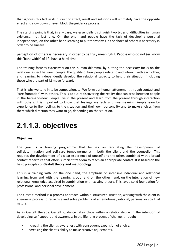that ignores this fact in its pursuit of effect, result and solutions will ultimately have the opposite effect and slow down or even block the guidance process.

The starting point is that, in any case, we essentially distinguish two types of difficulties in human existence, not just one. On the one hand people have the task of developing personal independence, on the other hand learning to put themselves in the shoes of others is necessary in order to be sincere.

perception of others is necessary in order to be truly meaningful. People who do not (er)know this 'bandwidth' of life have a hard time.

The training focuses extensively on this human dilemma, by putting the necessary focus on the relational aspect between people: the quality of how people relate to and interact with each other, and learning to independently develop the relational capacity to help their situation (including those who are part of it) move forward.

That is why we tune in to be compassionate. We form our human attunement through contact and 'care-frontation' with others. This is about rediscovering the reality that can arise between people in the here-and-now. People live in the present and learn from the present through interaction with others. It is important to know that feelings are facts and give meaning. People learn by experience to link feelings to the situation and their own personality and to make choices from there which direction they want to go, depending on the situation.

## <span id="page-20-0"></span>**2.1.1.3. objectives**

### **Objectives**

The goal is a training programme that focuses on facilitating the development of self-determination and self-care (empowerment) in both the client and the counsellor. This requires the development of a clear experience of oneself and the other, combined with a broad contact repertoire that offers sufficient freedom to reach an appropriate contact. It is based on the basic principles of **Gestalt theory and methodology**.

This is a training with, on the one hand, the emphasis on intensive individual and relational learning from and with the learning group, and on the other hand, on the integration of new relational knowledge acquired in combination with existing theory. This lays a solid foundation for professional and personal development.

The Gestalt method is a process approach within a structured situation, working with the client in a learning process to recognise and solve problems of an emotional, rational, personal or spiritual nature.

As in Gestalt therapy, Gestalt guidance takes place within a relationship with the intention of developing self-support and awareness in the life-long process of change, through:

- Increasing the client's awareness with consequent expansion of choice.
- Increasing the client's ability to make creative adjustments.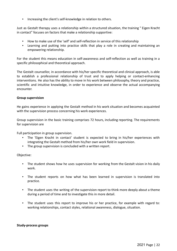▪ Increasing the client's self-knowledge in relation to others.

Just as Gestalt therapy uses a relationship within a structured situation, the training " Eigen Kracht in contact" focuses on factors that make a relationship supportive:

- How to make use of the 'self' and self-reflection in service of this relationship
- Learning and putting into practice skills that play a role in creating and maintaining an empowering relationship.

For the student this means education in self-awareness and self-reflection as well as training in a specific philosophical and theoretical approach.

The Gestalt counsellor, in accordance with his/her specific theoretical and clinical approach, is able to establish a professional relationship of trust and to apply helping or contact-enhancing interventions. He also has the ability to move in his work between philosophy, theory and practice, scientific and intuitive knowledge, in order to experience and observe the actual accompanying encounter.

### **Group supervision**

He gains experience in applying the Gestalt method in his work situation and becomes acquainted with the supervision process concerning his work experiences.

Group supervision in the basic training comprises 72 hours, including reporting. The requirements for supervision are

Full participation in group supervision.

- The 'Eigen Kracht in contact' student is expected to bring in his/her experiences with integrating the Gestalt method from his/her own work field in supervision.
- The group supervision is concluded with a written report.

### Objective:

- **•** The student shows how he uses supervision for working from the Gestalt vision in his daily work.
- The student reports on how what has been learned in supervision is translated into practice.
- The student uses the writing of the supervision report to think more deeply about a theme during a period of time and to investigate this in more detail.
- The student uses this report to improve his or her practice, for example with regard to: working relationships, contact styles, relational awareness, dialogue, situation.

### **Study-process groups**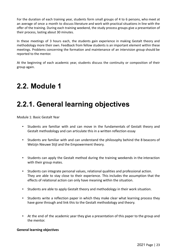For the duration of each training year, students form small groups of 4 to 6 persons, who meet at an average of once a month to discuss literature and work with practical situations in line with the offer of the training. During each training weekend, the study process groups give a presentation of their process, lasting about 30 minutes.

In these meetings of 3 hours each, the students gain experience in making Gestalt theory and methodology more their own. Feedback from fellow students is an important element within these meetings. Problems concerning the formation and maintenance of an intervision group should be reported to the mentor.

At the beginning of each academic year, students discuss the continuity or composition of their group again.

## <span id="page-22-0"></span>**2.2. Module 1**

## <span id="page-22-1"></span>**2.2.1. General learning objectives**

Module 1: Basic Gestalt Year

- Students are familiar with and can move in the fundamentals of Gestalt theory and Gestalt methodology and can articulate this in a written reflection essay
- Students are familiar with and can understand the philosophy behind the 8 beacons of Welzijn Nieuwe Stijl and the Empowerment theory.
- Students can apply the Gestalt method during the training weekends in the interaction with their group mates.
- Students can integrate personal values, relational qualities and professional action. They are able to stay close to their experience. This includes the assumption that the effects of relational action can only have meaning within the situation.
- Students are able to apply Gestalt theory and methodology in their work situation.
- Students write a reflection paper in which they make clear what learning process they have gone through and link this to the Gestalt methodology and theory.
- At the end of the academic year they give a presentation of this paper to the group and the mentor.

### **General learning objectives**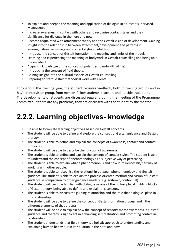- To explore and deepen the meaning and application of dialogue in a Gestalt supervised relationship.
- Increase awareness in contact with others and recognise contact styles and their significance for dialogue in the here and now
- Become acquainted with attachment theory and the Gestalt vision of development. Gaining insight into the relationship between attachment/development and patterns in emoregulation, self-image and contact styles in adulthood.
- Introduce the concept of Gestalt formation: the meaning and limits of the model.
- Learning and experiencing the meaning of bodywork in Gestalt counselling and being able to describe it.
- Acquiring knowledge of the concept of polarities (bandwidth of life).
- **·** Introducing the concept of field theory.
- Gaining insight into the cultural aspects of Gestalt counselling
- Preparing to start Gestalt methodical work with clients.

Throughout the training year, the student receives feedback, both in training groups and in his/her intervision group, from mentor, fellow students, teachers and outside evaluators. The developments of students are discussed regularly during the meeting of the Programme Committee. If there are any problems, they are discussed with the student by the mentor.

## <span id="page-23-0"></span>**2.2.2. Learning objectives- knowledge**

- Be able to formulate learning objectives based on Gestalt concepts.
- The student will be able to define and explore the concept of Gestalt guidance and Gestalt therapy.
- The student is able to define and explain the concepts of awareness, contact and contact processes.
- The student will be able to describe the function of awareness.
- The student is able to define and explain the concept of contact styles. The student is able to understand the concept of phenomenology as a subjective way of perceiving.
- The student is able to explain what a phenomenon is and how it influences his/her way of working with other people.
- The student is able to recognise the relationship between phenomenology and Gestalt guidance The student is able to explain the process-oriented method and vision of Gestalt guidance in comparison to other guidance models (e.g. systemic, contextual).
- The student will become familiar with dialogue as one of the philosophical building blocks of Gestalt theory, being able to define and explain this concept.
- The student is able to discuss the guiding relationship and the role that dialogue plays in this relationship.
- The student will be able to define the concept of Gestalt formation process and the different elements of that process.
- The student will be able to explain how the concept of sensory-motor awareness in Gestalt guidance and therapy is significant in enhancing self-realisation and promoting contact in relationship.
- The student understands that field theory is a holistic approach to understanding and explaining human behaviour in its situation in the here and now.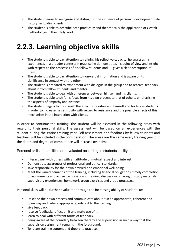- The student learns to recognise and distinguish the influence of personal development (life history) in guiding clients.
- The student is able to describe both practically and theoretically the application of Gestalt methodology in their daily work.

## <span id="page-24-0"></span>**2.2.3. Learning objective skills**

- The student is able to pay attention to refining his reflective capacity; he analyses his experiences in a broader context; in practice he demonstrates his point of view and insight with respect to the processes of his fellow students and gives a clear description of them.
- The student is able to pay attention to non-verbal information and is aware of its significance in contact with the other.
- The student is prepared to experiment with dialogue in the group and to receive feedback about it from fellow students and mentor.
- The student is able to deal with differences between himself and his clients.
- The student is able to shift his focus from his own process to that of others, emphasising the aspects of empathy and distance.
- The student begins to distinguish the effect of resistance in himself and his fellow students in order to increase his sensitivity with regard to resistance and the possible effects of this mechanism in the interaction with clients.

In order to continue the training, the student will be assessed in the following areas with regard to their personal skills. The assessment will be based on all experiences with the student during the entire training year. Self-assessment and feedback by fellow students and teachers will be included in the consideration. The areas are the same every training year, but the depth and degree of competence will increase over time.

Personal skills and abilities are evaluated according to students' ability to:

- Interact well with others with an attitude of mutual respect and interest.
- Demonstrate awareness of professional and ethical standards.
- Take responsibility for their own physical and emotional well-being.
- Meet the varied demands of the training, including financial obligations, timely completion of assignments and active participation in training, discussions, sharing of study materials, supervisory experiences, homework group exercises and group processes.

Personal skills will be further evaluated through the increasing ability of students to:

- Describe their own process and communicate about it in an appropriate, coherent and open way and, where appropriate, relate it to the training.
- give feedback.
- receive feedback, reflect on it and make use of it.
- learn to deal with different forms of feedback.
- being aware of the boundary between therapy and supervision in such a way that the supervision assignment remains in the foreground.
- To relate training content and theory to practice.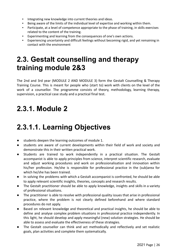- Integrating new knowledge into current theories and ideas.
- Being aware of the limits of the individual level of expertise and working within them.
- Participate, at a level of competence appropriate to the phase of training, in skills exercises related to the content of the training.
- Experimenting and learning from the consequences of one's own actions.
- Experiencing uncertainty and difficult feelings without becoming rigid, and yet remaining in contact with the environment

## <span id="page-25-0"></span>**2.3. Gestalt counselling and therapy training module 2&3**

The 2nd and 3rd year (MODULE 2 AND MODULE 3) form the Gestalt Counselling & Therapy Training Course. This is meant for people who (start to) work with clients on the level of the work of a counsellor. The programme consists of theory, methodology, learning therapy, supervision, a practical case study and a practical final test.

### <span id="page-25-1"></span>**2.3.1. Module 2**

## <span id="page-25-2"></span>**2.3.1.1. Learning Objectives**

- students deepen the learning outcomes of module 1.
- students are aware of current developments within their field of work and society and demonstrate this in their written practical work.
- Students are trained to work independently in a practical situation. The Gestalt accompanist is able to apply principles from science, interpret scientific research, evaluate and adjust working procedures and work on professionalisation and innovation within his/her profession. He/she is responsible for professional practice in the (sub)area for which he/she has been trained.
- In solving the problems with which a Gestalt accompanist is confronted, he should be able to apply relevant scientific insights, theories, concepts and research results.
- The Gestalt practitioner should be able to apply knowledge, insights and skills in a variety of professional situations.
- The practitioner is able to resolve with professional quality issues that arise in professional practice, where the problem is not clearly defined beforehand and where standard procedures do not apply.
- Based on relevant knowledge and theoretical and practical insights, he should be able to define and analyse complex problem situations in professional practice independently. In this light, he should develop and apply meaningful (new) solution strategies. He should be able to assess and evaluate the effectiveness of these strategies.
- The Gestalt counsellor can think and act methodically and reflectively and set realistic goals, plan activities and complete them systematically.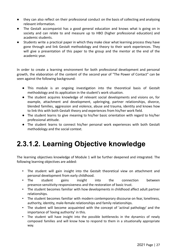- they can also reflect on their professional conduct on the basis of collecting and analysing relevant information.
- The Gestalt accompanist has a good general education and knows what is going on in society and can relate to and measure up to HBO (higher professional education) and academic students.
- Students write a practical paper in which they make clear what learning process they have gone through and link Gestalt methodology and theory to their work experiences. They will give a presentation of this paper to the group and the mentor at the end of the academic year.

In order to create a learning environment for both professional development and personal growth, the elaboration of the content of the second year of "The Power of Contact" can be seen against the following background:

- This module is an ongoing investigation into the theoretical basis of Gestalt methodology and its application in the student's work situation.
- The student acquires knowledge of relevant social developments and visions on, for example, attachment and development, upbringing, partner relationships, divorce, blended families, aggression and violence, abuse and trauma, identity and knows how to link this with both Gestalt theory and experiences from his/her work field.
- The student learns to give meaning to his/her basic orientation with regard to his/her professional attitude.
- The student learns to connect his/her personal work experiences with both Gestalt methodology and the social context.

## <span id="page-26-0"></span>**2.3.1.2. Learning Objective knowledge**

The learning objectives knowledge of Module 1 will be further deepened and integrated. The following learning objectives are added:

- The student will gain insight into the Gestalt theoretical view on attachment and personal development from early childhood.
- The student gains insight into the connection between presence-sensitivity-responsiveness and the restoration of basic trust.
- The student becomes familiar with how developments in childhood affect adult partner relationships.
- The student becomes familiar with modern contemporary discourse on fear, loneliness, authority, identity, male-female relationships and family relationships.
- The student will become acquainted with the concept of 'actinal pathology' and the importance of 'loving authority' in this.
- The student will have insight into the possible bottlenecks in the dynamics of newly composed families and will know how to respond to them in a situationally appropriate way.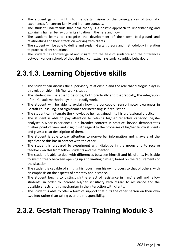- The student gains insight into the Gestalt vision of the consequences of traumatic experiences for current family and intimate contacts.
- The student understands that field theory is a holistic approach to understanding and explaining human behaviour in its situation in the here and now.
- The student learns to recognise the development of their own background and relationships and their effects on working with clients.
- The student will be able to define and explain Gestalt theory and methodology in relation to practical client situations.
- The student has knowledge of and insight into the field of guidance and the differences between various schools of thought (e.g. contextual, systemic, cognitive-behavioural).

## <span id="page-27-0"></span>**2.3.1.3. Learning Objective skills**

- The student can discuss the supervisory relationship and the role that dialogue plays in this relationship in his/her work situation.
- The student will be able to describe, both practically and theoretically, the integration of the Gestalt methodology in their daily work.
- The student will be able to explain how the concept of sensorimotor awareness in Gestalt counselling is of significance for increasing self-realisation.
- The student can integrate the knowledge he has gained into his professional practice.
- The student is able to pay attention to refining his/her reflective capacity; he/she analyses his/her experiences in a broader context; in practice, he/she demonstrates his/her point of view and insight with regard to the processes of his/her fellow students and gives a clear description of them.
- The student is able to pay attention to non-verbal information and is aware of the significance this has in contact with the other.
- The student is prepared to experiment with dialogue in the group and to receive feedback on this from fellow students and the mentor.
- The student is able to deal with differences between himself and his clients. He is able to switch freely between opening up and limiting himself, based on the requirements of the situation.
- The student is capable of shifting his focus from his own process to that of others, with an emphasis on the aspects of empathy and distance.
- The student begins to distinguish the effect of resistance in him/herself and fellow students, in order to increase his/her sensitivity with regard to resistance and the possible effects of this mechanism in the interaction with clients.
- The student is able to offer a form of support that puts the other person on their own two feet rather than taking over their responsibility.

## <span id="page-27-1"></span>**2.3.2. Gestalt Therapy Training Module 3**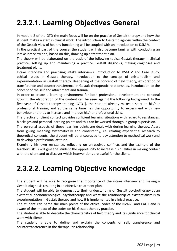# <span id="page-28-0"></span>**2.3.2.1. Learning Objectives General**

In module 2 of the GTO the main focus will be on the practice of Gestalt therapy and how the student makes a start in clinical work. The introduction to Gestalt diagnosis within the context of the Gestalt view of healthy functioning will be coupled with an introduction to DSM V.

In the practical part of the course, the student will also become familiar with conducting an intake interview and, based on this, drawing up a treatment plan.

The theory will be elaborated on the basis of the following topics: Gestalt therapy in clinical practice, setting up and maintaining a practice. Gestalt diagnosis, making diagnoses and treatment plans.

Intake interview and practising intake interviews. Introduction to DSM V and Case Study, ethical issues in Gestalt therapy. Introduction to the concept of existentialism and experimentation in Gestalt therapy, deepening of the concept of field theory, exploration of transference and countertransference in Gestalt therapeutic relationships, introduction to the concept of the self and attachment and trauma.

In order to create a learning environment for both professional development and personal growth, the elaboration of the content can be seen against the following background: In the first year of Gestalt therapy training (GTO1), the student already makes a start on his/her professional training and at the same time has the opportunity to experiment with new behaviour and thus to increase and improve his/her professional skills.

The practice of client contact provides sufficient learning situations with regard to resistances, blockages and personal learning points and this can be worked through in group supervision.

The personal aspects of these learning points are dealt with during learning therapy. Apart from giving meaning systematically and consistently, i.e. relating experiential research to theoretical concepts, the student will be encouraged to pay attention to methodical work and to develop a professional attitude.

Examining his own resistance, reflecting on unresolved conflicts and the example of the teacher's skills will give the student the opportunity to increase his qualities in making contact with the client and to discover which interventions are useful for the client.

## <span id="page-28-1"></span>**2.3.2.2. Learning Objective knowledge**

The student will be able to recognise the importance of the intake interview and making a Gestalt diagnosis resulting in an effective treatment plan.

The student will be able to demonstrate their understanding of Gestalt psychotherapy as an existential phenomenological psychotherapy and what the relationship of existentialism is to experimentation in Gestalt therapy and how it is implemented in clinical practice.

The student can name the main points of the ethical codes of the NVAGT and EAGT and is aware of the impact of the codes on his Gestalt therapy practice.

The student is able to describe the characteristics of field theory and its significance for clinical work with clients.

The student is able to define and explain the concepts of self, transference and countertransference in the therapeutic relationship.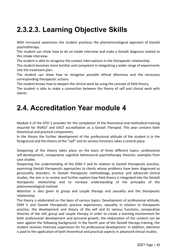# <span id="page-29-0"></span>**2.3.2.3. Learning Objective Skills**

With increased awareness the student practices the phenomenological approach of Gestalt psychotherapy.

The student can show how to do an intake interview and make a Gestalt diagnosis related to this intake interview.

The student is able to recognise the contact interruptions in the therapeutic relationship.

The student becomes more familiar and competent in integrating a wider range of experiments into the treatment plan.

The student can show how to recognise possible ethical dilemmas and the necessary corresponding therapeutic actions.

The student knows how to deepen the clinical work by using the concept of field theory.

The student is able to make a connection between the theory of self and clinical work with clients.

### <span id="page-29-1"></span>**2.4. Accreditation Year module 4**

Module 4 of the GTO 2 provides for the completion of the theoretical and methodical training required for NVAGT and EAGT accreditation as a Gestalt Therapist. This year contains both theoretical and practical components.

In the theory the further development of the professional attitude of the student is in the foreground and the theory of the "self" and its various functions takes a central place.

Deepening of the theory takes place on the basis of three different topics: professional self-development; comparative cognitive behavioural psychotherapy theories; examples from case studies.

Deepening the understanding of the DSM V and its relation to Gestalt therapeutic practice, examining Gestalt therapeutic approaches to clients whose problems have been diagnosed as personality disorders. In Gestalt therapeutic methodology practice and advanced clinical studies, the aim is to review and further explore how field theory is integrated into the Gestalt therapeutic relationship and to increase understanding of the principles of the phenomenological method.

Attention is also given to group and couple therapy and sexuality and the therapeutic relationship.

The theory is elaborated on the basis of various topics: Development of professional attitude, DSM V and Gestalt therapeutic practice experiences, sexuality in relation to therapeutic practice, the development and theory of the self and its various functions, comparative theories of the self, group and couple therapy In order to create a learning environment for both professional development and personal growth, the elaboration of the content can be seen against the following background: In the fourth year of the Gestalt therapy training, the student receives intensive supervision for his professional development. In addition, attention is paid to the application of both theoretical and practical aspects in advanced clinical studies.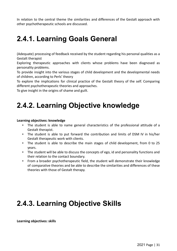In relation to the central theme the similarities and differences of the Gestalt approach with other psychotherapeutic schools are discussed.

## <span id="page-30-0"></span>**2.4.1. Learning Goals General**

(Adequate) processing of feedback received by the student regarding his personal qualities as a Gestalt therapist

Exploring therapeutic approaches with clients whose problems have been diagnosed as personality problems.

To provide insight into the various stages of child development and the developmental needs of children, according to Perls' theory

To explore the implications for clinical practice of the Gestalt theory of the self. Comparing different psychotherapeutic theories and approaches.

To give insight in the origins of shame and guilt.

## <span id="page-30-1"></span>**2.4.2. Learning Objective knowledge**

### **Learning objectives: knowledge**

- The student is able to name general characteristics of the professional attitude of a Gestalt therapist.
- The student is able to put forward the contribution and limits of DSM IV in his/her Gestalt therapeutic work with clients.
- The student is able to describe the main stages of child development, from 0 to 25 years.
- The student will be able to discuss the concepts of ego, id and personality functions and their relation to the contact boundary.
- From a broader psychotherapeutic field, the student will demonstrate their knowledge of comparative theories and be able to describe the similarities and differences of these theories with those of Gestalt therapy.

## <span id="page-30-2"></span>**2.4.3. Learning Objective Skills**

**Learning objectives: skills**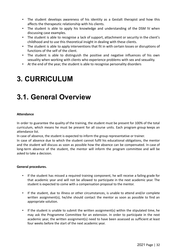- The student develops awareness of his identity as a Gestalt therapist and how this affects the therapeutic relationship with his clients.
- The student is able to apply his knowledge and understanding of the DSM IV when discussing case examples.
- The student is able to recognise a lack of support, attachment or security in the client's childhood and to use this theoretical insight in dealing with these clients.
- The student is able to apply interventions that fit in with certain losses or disruptions of functions of the self of the client.
- The student is able to distinguish the positive and negative influences of his own sexuality when working with clients who experience problems with sex and sexuality.
- At the end of the year, the student is able to recognise personality disorders

## <span id="page-31-0"></span>**3. CURRICULUM**

## <span id="page-31-1"></span>**3.1. General Overview**

### **Attendance**

In order to guarantee the quality of the training, the student must be present for 100% of the total curriculum, which means he must be present for all course units. Each program group keeps an attendance list.

In case of absence, the student is expected to inform the group representative or trainer.

In case of absence due to which the student cannot fulfil his educational obligations, the mentor and the student will discuss as soon as possible how the absence can be compensated. In case of long-term absence of the student, the mentor will inform the program committee and will be asked to take a decision.

### **General procedures.**

- If the student has missed a required training component, he will receive a failing grade for that academic year and will not be allowed to participate in the next academic year. The student is expected to come with a compensation proposal to the mentor.
- If the student, due to illness or other circumstances, is unable to attend and/or complete written assignment(s), he/she should contact the mentor as soon as possible to find an appropriate solution.
- If the student is unable to submit the written assignment(s) within the stipulated time, he may ask the Programme Committee for an extension. In order to participate in the next academic year, the written assignment(s) need to have been assessed as sufficient at least four weeks before the start of the next academic year.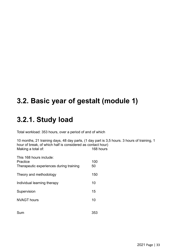## <span id="page-32-0"></span>**3.2. Basic year of gestalt (module 1)**

## <span id="page-32-1"></span>**3.2.1. Study load**

Total workload: 353 hours, over a period of and of which

10 months, 21 training days, 48 day parts, (1 day part is 3,5 hours. 3 hours of training, 1 hour of break, of which half is considered as contact hour)<br>Making a total of: 168 hours Making a total of:

| This 168 hours include:<br>Practice<br>Therapeutic experiences during training | 100<br>50 |
|--------------------------------------------------------------------------------|-----------|
| Theory and methodology                                                         | 150       |
| Individual learning therapy                                                    | 10        |
| Supervision                                                                    | 15        |
| <b>NVAGT hours</b>                                                             | 10        |
| Sum                                                                            | 353       |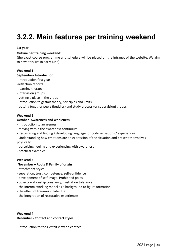## <span id="page-33-0"></span>**3.2.2. Main features per training weekend**

### **1st year**

### **Outline per training weekend:**

(the exact course programme and schedule will be placed on the intranet of the website. We aim to have this live in early June)

### **Weekend 1**

#### **September- Introduction**

- introduction first year
- -reflection reports
- learning therapy
- intervision groups
- getting a place in the group
- introduction to gestalt theory, principles and limits
- putting together peers (buddies) and study process (or supervision) groups

### **Weekend 2**

### **October- Awareness and wholeness**

- introduction to awareness
- moving within the awareness continuum
- Recognizing and finding / developing language for body sensations / experiences
- Understanding how emotions are an expression of the situation and present themselves physically
- perceiving, feeling and experiencing with awareness
- practical examples

### **Weekend 3**

### **November – Roots & Family of origin**

- attachment styles
- separation, trust, competence, self-confidence
- development of self-image. Prohibited poles
- object-relationship constancy, frustration tolerance
- the internal working model as a background to figure formation
- the effect of traumas in later life
- the integration of restorative experiences

### **Weekend 4 December - Contact and contact styles**

- Introduction to the Gestalt view on contact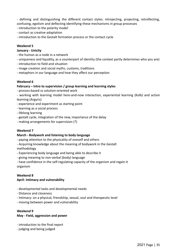- defining and distinguishing the different contact styles: introjecting, projecting, retroflecting, confusing, egotism and deflecting identifying these mechanisms in group processes

- introduction to the polarity model
- contact as creative adaptation
- introduction to the Gestalt formation process or the contact cycle

### **Weekend 5**

### **January - Unicity**

- the human as a node in a network
- uniqueness and liquidity, as a counterpart of identity (the context partly determines who you are)
- introduction to field and situation
- image creation and social myths, customs, traditions
- metaphors in our language and how they affect our perception

### **Weekend 6**

#### **February – Intro to supervision / group learning and learning styles**

- process-based vs solution-oriented work
- working with learning model here-and-now interaction, experiential learning (Kolb) and action learning (Argyris)
- experience and experiment as starting point
- learning as a social process
- lifelong learning
- gestalt cycle, integration of the new, importance of the delay
- making arrangements for supervision (?)

#### **Weekend 7**

#### **March - Bodywork and listening to body language**

- paying attention to the physicality of oneself and others
- Acquiring knowledge about the meaning of bodywork in the Gestalt methodology
- Experiencing body language and being able to describe it
- giving meaning to non-verbal (body) language
- have confidence in the self-regulating capacity of the organism and regain it organism

#### **Weekend 8**

### **April- Intimacy and vulnerability**

- developmental tasks and developmental needs
- Distance and closeness
- Intimacy: on a physical, friendship, sexual, soul and therapeutic level
- moving between power and vulnerability

#### **Weekend 9**

#### **May - Field, aggression and power**

- introduction to the final report
- judging and being judged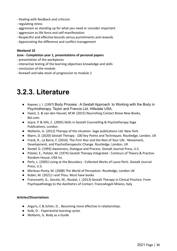- Dealing with feedback and criticism
- regulating stress
- aggression as standing up for what you need or consider important
- aggression as life force and self-manifestation
- Respectful and effective bounds versus punishments and rewards
- Appreciating the difference and conflict management

### **Weekend 10**

### **June - Completion year 1, presentations of personal papers**

- presentation of the workpieces
- interactive testing of the learning objectives knowledge and skills
- conclusion of the module
- farewell and take stock of progression to module 2

### <span id="page-35-0"></span>**3.2.3. Literature**

- Kepner, J. I. (1997) Body Process : A Gestalt Approach to Working with the Body in Psychotherapy. Taylor and Francis Ltd, Hillsdale USA.
- Haest, S. & van den Heuvel, M.W. (2015) Nourishing Contact Brave New Books, Bol.com.
- Joyce, P. & Sills, C. (2005) Skills in Gestalt Counselling & Psychotherapy Sage Publications, London.
- Wollants, G. (2012) Therapy of the situation. Sage publications Ltd. New York.
- Mann, D. (2020) Gestalt Therapy : 100 Key Points and Techniques. Routledge, London, UK
- Frank, R., La Barre, F. (2010). The First Year and the Rest of Your Life : Movement, Development, and Psychotherapeutic Change. Routledge, London, UK
- Yontef, G. (1993) Awareness, Dialogue and Process. Gestalt Journal Press, U.S.
- Polster, E., Polster, M. (1974) Gestalt Therapy Integrated : Contours of Theory & Practice. Random House, USA Inc
- Perls, L. (2005) Living at the Boundary : Collected Works of Laura Perls. Gestalt Journal Press, U.S.
- Merleau-Ponty, M. (2008) The World of Perception. Routledge, London UK
- Buber, M. (2021) I and Thou. Must have books
- Francesetti, G., Gecele, M., Roubal, J. (2013) Gestalt Therapy in Clinical Practice. From Psychopathology to the Aesthetics of Contact. FrancoAngeli Milano, Italy

### **Articles/Dissertations**

- Argyris, C & Schön, D. , Becoming more effective in relationships.
- Kolb, D. : Experiential learning cycles
- Wollants, G. Body as a Guide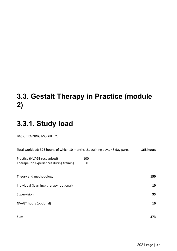# **3.3. Gestalt Therapy in Practice (module 2)**

# **3.3.1. Study load**

BASIC TRAINING MODULE 2:

| Total workload: 373 hours, of which 10 months, 21 training days, 48 day parts, |     | 168 hours |
|--------------------------------------------------------------------------------|-----|-----------|
| Practice (NVAGT recognized)                                                    | 100 |           |
| Therapeutic experiences during training                                        | 50  |           |
|                                                                                |     |           |
| Theory and methodology                                                         |     | 150       |
| Individual (learning) therapy (optional)                                       |     | 10        |
| Supervision                                                                    |     | 35        |
|                                                                                |     |           |
| <b>NVAGT hours (optional)</b>                                                  |     | 10        |
|                                                                                |     |           |
| Sum                                                                            |     | 373       |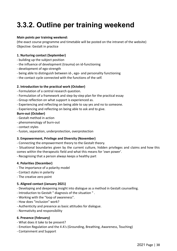# **3.3.2. Outline per training weekend**

### **Main points per training weekend:**

(the exact course programme and timetable will be posted on the intranet of the website) Objective: Gestalt in practice

### **1. Nurturing contact (September)**

- building up the subject position
- the influence of development (trauma) on id-functioning
- development of ego-strength
- being able to distinguish between id-, ego- and personality functioning
- the contact cycle connected with the functions of the self.

### **2. Introduction to the practical work (October)**

- Formulation of a central research question.
- Formulation of a framework and step-by-step plan for the practical essay
- Group reflection on what support is experienced as.
- Experiencing and reflecting on being able to say yes and no to someone.
- Experiencing and reflecting on being able to ask and to give.

### **Burn-out (October)**

- Gestalt method in action
- phenomenology of burn-out
- contact styles
- fusion, separation, underprotection, overprotection

### **3. Empowerment, Privilege and Diversity (November)**

- Connecting the empowerment theory to the Gestalt theory.
- Situational boundaries given by the current culture, hidden privileges and claims and how this comes within the therapeutic field and what this means for 'own power'.
- Recognising that a person always keeps a healthy part

#### **4. Polarities (December)**

- The importance of a polarity model
- Contact styles in polarity
- The creative zero point

### **5. Aligned contact (January 2021)**

- Developing and deepening insight into dialogue as a method in Gestalt counselling.
- Introduction to Gestalt " diagnosis of the situation " .
- Working with the "loop of awareness".
- How does "inclusion" work?
- Authenticity and presence as basic attitudes for dialogue.
- Normativity and responsibility

### **6. Presence (February)**

- What does it take to be present?
- Emotion Regulation and the 4 A's (Grounding, Breathing, Awareness, Touching)
- Containment and Support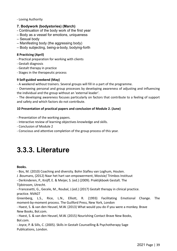- Loving Authority

### **7. Bodywork (bodystories) (March)**

- Continuation of the body work of the first year
- Body as a vessel for emotions, uniqueness
- Sexual body
- Manifesting body (the aggressing body)
- Body subjecting, being-a-body, bodying-forth

### **8 Practicing (April)**

- Practical preparation for working with clients
- Gestalt diagnosis
- Gestalt therapy in practice
- Stages in the therapeutic process

### **9 Self-guided weekend (May)**

- A weekend without trainers. Several groups will fill in a part of the programme.

- Overseeing personal and group processes by developing awareness of adjusting and influencing the individual and the group without an 'external leader'.

- The developing awareness focuses particularly on factors that contribute to a feeling of support and safety and which factors do not contribute.

### **10 Presentation of practical papers and conclusion of Module 2. (June)**

- Presentation of the working papers.
- Interactive review of learning objectives knowledge and skills.
- Conclusion of Module 2
- Conscious and attentive completion of the group process of this year.

### **3.3.3. Literature**

#### **Books.**

- Bos, M. (2010) Coaching and diversity. Bohn Stafleu van Loghum, Houten.

J .Boumans, (2012) Naar het hart van empowerment, Movisie/ Trimbos Instituut

- Derkinderen, P., Knijff, E. & Meijer, S. (ed.) (2009). Praktijkboek Gestalt. The Tijdstroom, Utrecht.

- Francesetti, G., Gecele, M., Roubal, J.(ed.) (2017) Gestalt therapy in clinical practice. practice. NVAGT

Greenberg, L.S., Rice, L.N., Elliott, R. (1993) Facilitating Emotional Change. The moment-by-moment process. The Guilford Press, New York, London

- Haest, S. & van den Heuvel, M.W. (2013) What would you do if you were a monkey. Brave New Books, Bol.com.

- Haest, S. & van den Heuvel, M.W. (2015) Nourishing Contact Brave New Books, Bol.com.

- Joyce, P. & Sills, C. (2005). Skills in Gestalt Counselling & Psychotherapy Sage Publications, London.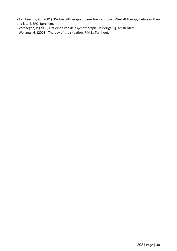- Lambrechts, G. (2001). De Gestalttherapie tussen toen en straks [Gestalt therapy between then and later]. EPO, Berchem.

- Verhaeghe, P. (2009) Het einde van de psychotherapie De Bezige Bij, Amsterdam.
- Wollants, G. (2008). Therapy of the situation. F.M.S., Turnhout.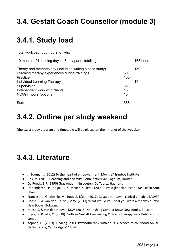# **3.4. Gestalt Coach Counsellor (module 3)**

# **3.4.1. Study load**

Total workload: 388 hours, of which

| 10 months, 21 training days, 48 day parts, totalling                                                                 |           | 168 hours |
|----------------------------------------------------------------------------------------------------------------------|-----------|-----------|
| Theory and methodology (including writing a case study)<br>Learning therapy experiences during trainings<br>Practice | 50<br>100 | 150       |
| Individual Learning Therapy                                                                                          |           | 10        |
| Supervision                                                                                                          | 35        |           |
| Independent work with clients                                                                                        | 15        |           |
| NVAGT hours (optional)                                                                                               | 10        |           |
| Sum                                                                                                                  | 388       |           |

## **3.4.2. Outline per study weekend**

(the exact study program and timetable will be placed on the intranet of the website)

## **3.4.3. Literature**

- J .Boumans, (2012) To the heart of empowerment, Movisie/ Trimbos Institute
- Bos, M. (2010) Coaching and diversity. Bohn Stafleu van Loghum, Houten.
- De Roeck, B.P. (1990) Gras onder mijn voeten. De Toorts, Haarlem.
- Derkinderen, P., Knijff, E. & Meijer, S. (ed.) (2009). Praktijkboek Gestalt. De Tijdstroom, Utrecht
- Francesetti, G., Gesele, M., Roubal, J.(ed.) (2017) Gestalt therapy in clinical practice. NVAGT
- Haest, S. & van den Heuvel, M.W. (2013) What would you do if you were a monkey? Brave New Books, Bol.com.
- Haest, S. & van den Heuvel, M.W. (2015) Nourishing Contact Brave New Books, Bol.com.
- Joyce, P. & Sills, C. (2018). Skills in Gestalt Counselling & Psychotherapy Sage Publications, London.
- Kepner, J.I. (2003). Healing Tasks, Psychotherapy with adult survivors of childhood Abuse. Gestalt Press, Cambridge MA USA.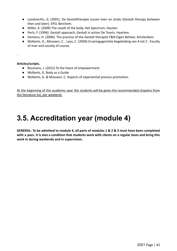- Lambrechts, G. (2001). De Gestalttherapie tussen toen en straks [Gestalt therapy between then and later]. EPO, Berchem.
- Miller, A. (2009) The revolt of the body. Het Spectrum, Houten.
- Perls, F. (1996). Gestalt approach, Gestalt in action De Toorts, Haarlem.
- Siemens, H. (2006). The practice of the Gestalt therapist F&N Eigen Beheer, Amsterdam.
- Wollants, G., Missiaen, C., Leys, C. (2004) Ervaringsgerichte begeleiding van A tot Z. Faculty of man and society of course.

**Articles/scripts.**

.

- Boumans, J. (2012) To the heart of empowerment.
- Wollants, G. Body as a Guide
- Wollants, G. & Missiaen, C. Aspects of experiential process promotion.

At the beginning of the academic year the students will be given the recommended chapters from the literature list, per weekend.

## **3.5. Accreditation year (module 4)**

GENERAL: To be admitted to module 4, all parts of modules 1 & 2 & 3 must have been completed with a pass. It is also a condition that students work with clients on a regular basis and bring this **work in during weekends and in supervision.**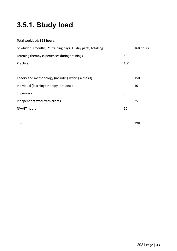# **3.5.1. Study load**

| Total workload: 398 hours,                                    |     |           |
|---------------------------------------------------------------|-----|-----------|
| of which 10 months, 21 training days, 48 day parts, totalling |     | 168 hours |
| Learning therapy experiences during trainings                 | 50  |           |
| Practice                                                      | 100 |           |
|                                                               |     |           |
| Theory and methodology (including writing a thesis)           |     | 150       |
| Individual (learning) therapy (optional)                      |     | 10        |
| Supervision                                                   | 35  |           |
| Independent work with clients                                 |     | 25        |
| <b>NVAGT hours</b>                                            | 10  |           |
|                                                               |     |           |

Sum 398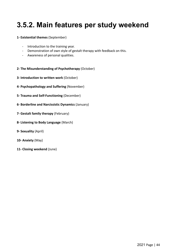## **3.5.2. Main features per study weekend**

### **1- Existential themes** (September)

- Introduction to the training year.
- Demonstration of own style of gestalt therapy with feedback on this.
- Awareness of personal qualities.
- **2- The Misunderstanding of Psychotherapy** (October)
- **3- Introduction to written work** (October)
- **4- Psychopathology and Suffering** (November)
- **5- Trauma and Self-Functioning** (December)
- **6- Borderline and Narcissistic Dynamics** (January)
- **7- Gestalt family therapy** (February)
- **8- Listening to Body Language** (March)
- **9- Sexuality** (April)
- **10- Anxiety** (May)
- **11- Closing weekend** (June)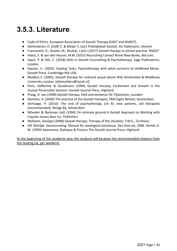## **3.5.3. Literature**

- Code of Ethics. European Association of Gestalt Therapy (EAGT and NVAGT).
- Derkinderen, P., Knijff, E. & Meijer S. [ed.] Praktijkboek Gestalt. De Tijdstroom, Utrecht.
- Francesetti, G., Gesele, M., Roubal, J. (ed.) (2017) Gestalt therapy in clinical practice. NVAGT
- Haest, S. & van den Heuvel, M.W. (2015) Nourishing Contact Brave New Books, Bol.com.
- Joyce, P. & Sills, C. (2018) Skills in Gestalt Counselling & Psychotherapy. Sage Publications, London.
- Kepner, J.I. (2003). Healing Tasks, Psychotherapy with adult survivors of childhood Abuse. Gestalt Press, Cambridge MA USA.
- Mulders E. (2005). Gestalt therapy for reduced sexual desire NSG Amsterdam & Middlesex University London. [ellamulders@tiscali.nl]
- Perls, Hefferline & Goodmann (1994) Gestalt therpay, Excitement and Growth in the Human Personality Volume I Gestalt Journal Press, Highland
- Praag, D. van (1998) Gestalt therapy, field and existence De Tijdstroom, Leusden
- Siemens, H. (2006) The practice of the Gestalt therapist, F&N Eigen Beheer, Amsterdam.
- Verhaege, P. (2010): The end of psychotherapy, (ch 4): new patients, old therapists (recommended). Bezige Bij, Amsterdam
- Wheeler & Backman (ed) (1994) On intimate ground A Gestalt Approach to Working with Copules Jossey Bass Inc. Publishers
- Wollants, Georges (2008) Gestalt therapy: Therapy of the situation. F.M.S., Turnhout.
- IJff, Marijke. Sexcounseling. Manual for sexological assistance. Van Gorcum, 2006. Yontef, G. M. (1993) Awareness, Dialoque & Process The Gestalt Journal Press, Highland

At the beginning of the academic year, the students will be given the recommended chapters from the reading list, per weekend.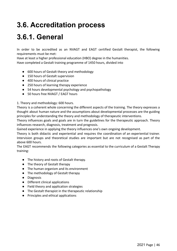# **3.6. Accreditation process**

# **3.6.1. General**

In order to be accredited as an NVAGT and EAGT certified Gestalt therapist, the following requirements must be met:

Have at least a higher professional education (HBO) degree in the humanities.

Have completed a Gestalt training programme of 1450 hours, divided into

- 600 hours of Gestalt theory and methodology
- 150 hours of Gestalt supervision
- 400 hours of clinical practice
- 250 hours of learning therapy experience
- 54 hours developmental psychology and psychopathology
- 50 hours free NVAGT / EAGT hours

### 1. Theory and methodology: 600 hours.

Theory is a coherent whole concerning the different aspects of the training. The theory expresses a thought about human nature and the assumptions about developmental processes are the guiding principles for understanding the theory and methodology of therapeutic interventions.

Theory influences goals and goals are in turn the guidelines for the therapeutic approach. Theory influences research, diagnosis, treatment and prognosis.

Gained experience in applying the theory influences one's own ongoing development.

Theory is both didactic and experiential and requires the coordination of an experiential trainer. Intervision groups and theoretical studies are important but are not recognised as part of the above 600 hours.

The EAGT recommends the following categories as essential to the curriculum of a Gestalt Therapy training:

- The history and roots of Gestalt therapy.
- The theory of Gestalt therapy
- The human organism and its environment
- The methodology of Gestalt therapy
- Diagnosis
- Different clinical applications
- Field theory and application strategies
- The Gestalt therapist in the therapeutic relationship
- Principles and ethical applications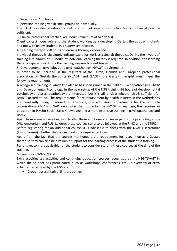2. Supervision: 150 hours.

Supervision can be given in small groups or individually.

The EAGT considers a ratio of about one hour of supervision to five hours of clinical practice sufficient.

3. Clinical professional practice: 400 hours (minimum of two years)

Client contact hours refers to the student working as a developing Gestalt therapist with clients and not with fellow students in a supervised practice.

4. Learning therapy: 250 hours of learning therapy experience

Individual therapy is absolutely indispensable for work as a Gestalt therapist. During the 4 years of training a minimum of 50 hours of individual learning therapy is required. In addition, the learning therapy experiences during the training weekends count towards this.

5. Developmental psychology and psychopathology (NVAGT requirement)

In order to be included in the registers of the Dutch, Flemish and European professional association of Gestalt therapists (NVAGT) and (EAGT), the Gestalt therapist must meet the following requirements:

A recognised training in which knowledge has been gained in the field of Psychopathology, DSM IV and Developmental Psychology. In the new set-up of the NSG training 54 hours of developmental psychology and psychopathology are integrated, but it is still unclear whether this is sufficient for NVAGT accreditation. The requirements for reimbursement by health insurers in the Netherlands are constantly being increased. In any case, the admission requirements for the umbrella organisations RBCZ and NAP are stricter than those for the NVAGT. In any case, this requires an education in Psycho Social Basic Knowledge and a more extensive training in psychopathology and DSMV.

Apart from some universities, which offer these additional courses as part of the psychology study (VU, Amsterdam and RUL, Leiden), these courses can also be followed at the RINO and the STIPO.

Before registering for an additional course, it is advisable to check with the NVAGT secretariat (Ingrid Jansen) whether the course meets the requirements set.

Apart from the fact that the courses mentioned are a requirement for recognition as a Gestalt therapist, they can also be a valuable support for the learning process of the student in training. For this reason it is advisable for the student to consider starting these courses at the time of the training.

### 6. Free hours NVAGT/EAGT.

Extra activities are activities and continuing education courses recognised by the NSG/NVAGT in which the student has participated, such as workshops, conferences, etc. An overview of extra activities recognised by the NSG are:

● Group representative; 5 hours per year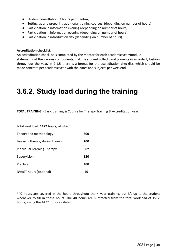- Student consultation; 3 hours per meeting
- Setting up and preparing additional training courses; (depending on number of hours)
- Participation in information evening (depending on number of hours)
- Participation in information evening (depending on number of hours).
- Participation in introduction day (depending on number of hours).

#### **Accreditation checklist.**

An accreditation checklist is completed by the mentor for each academic year/module statements of the various components that the student collects and presents in an orderly fashion throughout the year. In 7.1.5 there is a format for the accreditation checklist, which should be made concrete per academic year with the dates and subjects per weekend.

### **3.6.2. Study load during the training**

**TOTAL TRAINING**: (Basic training & Counsellor Therapy Training & Accreditation year)

Total workload: **1472 hours**, of which

| Theory and methodology           | 600   |
|----------------------------------|-------|
| Learning therapy during training | 200   |
| Individual Learning Therapy      | $50*$ |
| Supervision                      | 120   |
| Practice                         | 400   |
| NVAGT hours (optional)           | 50    |

\*40 hours are covered in the hours throughout the 4 year training, but it's up to the student whenever to fill in these hours. The 40 hours are subtracted from the total workload of 1512 hours, giving the 1472 hours as stated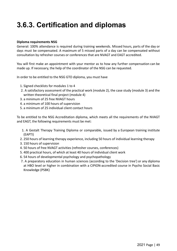# **3.6.3. Certification and diplomas**

### **Diploma requirements NSG**

General: 100% attendance is required during training weekends. Missed hours, parts of the day or days must be compensated. A maximum of 5 missed parts of a day can be compensated without consultation by refresher courses or conferences that are NVAGT and EAGT accredited.

You will first make an appointment with your mentor as to how any further compensation can be made up. If necessary, the help of the coordinator of the NSG can be requested.

In order to be entitled to the NSG GTO diploma, you must have

- 1. Signed checklists for modules 1 to 4
- 2. A satisfactory assessment of the practical work (module 2), the case study (module 3) and the written theoretical final project (module 4)
- 3. a minimum of 25 free NVAGT hours
- 4. a minimum of 100 hours of supervision
- 5. a minimum of 25 individual client contact hours

To be entitled to the NSG Accreditation diploma, which meets all the requirements of the NVAGT and EAGT, the following requirements must be met:

- 1. A Gestalt Therapy Training Diploma or comparable, issued by a European training institute (EAPTI)
- 2. 250 hours of learning therapy experience, including 50 hours of individual learning therapy
- 3. 150 hours of supervision
- 4. 50 hours of free NVAGT activities (refresher courses, conferences)
- 5. 400 practical hours, of which at least 40 hours of individual client work
- 6. 54 hours of developmental psychology and psychopathology
- 7. A preparatory education in human sciences (according to the 'Decision tree') or any diploma at HBO level or higher in combination with a CIPION-accredited course in Psycho Social Basic Knowledge (PSBK)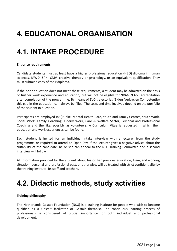# **4. EDUCATIONAL ORGANISATION**

# **4.1. INTAKE PROCEDURE**

### **Entrance requirements.**

Candidate students must at least have a higher professional education (HBO) diploma in human sciences, MWD, SPH, CMV, creative therapy or psychology, or an equivalent qualification. They must submit a copy of their diploma.

If the prior education does not meet these requirements, a student may be admitted on the basis of further work experience and education, but will not be eligible for NVAGT/EAGT accreditation after completion of the programme. By means of EVC-trajectories (Elders Verkregen Competentie) this gap in the education can always be filled. The costs and time involved depend on the portfolio of the student in question.

Participants are employed in: (Public) Mental Health Care, Youth and Family Centres, Youth Work, Social Work, Family Coaching, Elderly Work, Care & Welfare Sector, Personal and Professional Coaching and the like, possibly as volunteers. A Curriculum Vitae is requested in which their education and work experiences can be found.

Each student is invited for an individual intake interview with a lecturer from the study programme, or required to attend an Open Day. If the lecturer gives a negative advice about the suitability of the candidate, he or she can appeal to the NSG Training Committee and a second interview will follow.

All information provided by the student about his or her previous education, living and working situation, personal and professional past, or otherwise, will be treated with strict confidentiality by the training institute, its staff and teachers.

# **4.2. Didactic methods, study activities**

### **Training philosophy.**

The Netherlands Gestalt Foundation (NSG) is a training institute for people who wish to become qualified as a Gestalt facilitator or Gestalt therapist. The continuous learning process of professionals is considered of crucial importance for both individual and professional development.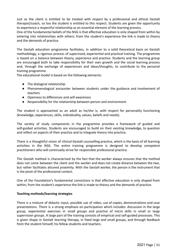Just as the client is entitled to be treated with respect by a professional and ethical Gestalt therapist/coach, so too the student is entitled to this respect. Students are given the opportunity to experience a respectful relationship as an essential element of the learning process.

One of the fundamental beliefs of the NSG is that effective education is only shaped from within by entering into relationships with others; from the student's experience the link is made to theory and the demands of practice.

The Gestalt education programme facilitates, in addition to a solid theoretical basis on Gestalt methodology, a rigorous process of supervised, experiential and practical training. The programme is based on a balance between theory, experience and practice. Students and the learning group are encouraged both to take responsibility for their own growth and the social learning process and, through the exchange of experiences and ideas/thoughts, to contribute to the personal training programme.

The educational model is based on the following elements:

- The dialogical relationship
- Phenomenological encounter between students under the guidance and involvement of teachers
- Openness to differences and self-awareness
- Responsibility for the relationship between person and environment.

The student is approached as an adult as he/she is, with respect for personality functioning (knowledge, experiences, skills, individuality, values, beliefs and needs).

The variety of study components in the programme provides a framework of guided and self-guided activities. Students are encouraged to build on their existing knowledge, to question and reflect on aspects of their practice and to integrate theory into practice.

There is a thoughtful vision of clinical Gestalt counselling practice, which is the basis of all learning activities in the NSG. The entire training programme is designed to develop competent practitioners who will continually strive for responsible professional practice.

The Gestalt method is characterised by the fact that the worker always ensures that the method does not come between the client and the worker and does not create distance between the two, but rather facilitates attuned proximity. With the Gestalt worker, the person is the instrument that is the pivot of the professional contact.

One of the Foundation's fundamental convictions is that effective education is only shaped from within; from the student's experience the link is made to theory and the demands of practice.

### **Teaching methods/learning strategies**

There is a mixture of didactic input, possible use of video, use of copies, demonstrations and case presentations. There is a strong emphasis on participation which includes: discussion in the large group, experiential exercises in small groups and practice of micro skills in small or large supervision groups. A large part of the training consists of empirical and self-guided processes. This is given shape in Gestalt learning therapy, in fixed large and small groups, and through feedback from the student himself, his fellow students and teachers.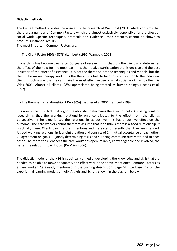#### **Didactic methods**

The Gestalt method provides the answer to the research of Wampold (2001) which confirms that there are a number of Common Factors which are almost exclusively responsible for the effect of social work. Specific techniques, protocols and Evidence Based practices cannot be shown to produce substantial results.

The most important Common Factors are:

- The Client Factor **(40% - 87%)** (Lambert (1992, Wampold 2001)

If one thing has become clear after 50 years of research, it is that it is the client who determines the effect of the help for the most part. It is their active participation that is decisive and the best indicator of the effect of assistance. It is not the therapist, not the techniques and models, but the client who makes therapy work. It is the therapist's task to tailor his contribution to the individual client in such a way that he can make the most effective use of what social work has to offer. (De Vries 2006) Almost all clients (98%) appreciated being treated as human beings. (Jacobs et al. 1997).

- The therapeutic relationship **(22% - 30%)** (Beutler et al 2004: Lambert (1992)

It is now a scientific fact that a good relationship determines the effect of help. A striking result of research is that the working relationship only contributes to the effect from the client's perspective. If he experiences the relationship as positive, this has a positive effect on the outcome. The care worker cannot therefore assume that if he thinks there is a good relationship, it is actually there. Clients can interpret intentions and messages differently than they are intended. A good working relationship is a joint creation and consists of 1.) mutual acceptance of each other, 2.) agreement on goals 3.) jointly determining tasks and 4.) being communicatively attuned to each other. The more the client sees the care worker as open, reliable, knowledgeable and involved, the better the relationship will grow (De Vries 2006).

The didactic model of the NSG is specifically aimed at developing the knowledge and skills that are needed to be able to move adequately and effectively in the above-mentioned Common Factors as a care worker. As already mentioned in the training description (page 61), we base this on the experiential learning models of Kolb, Argyris and Schön, shown in the diagram below.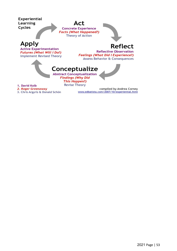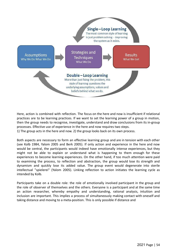

Here, action is combined with reflection. The focus on the here and now is insufficient if relational practices are to be learning practices. If we want to set the learning power of a group in motion, then the group needs to recognise, investigate, understand and draw conclusions from its in-group processes. Effective use of experience in the here and now requires two steps.

1) The group acts in the here and now. 2) the group looks back on its own process.

Both aspects are necessary to form an effective learning group and are in tension with each other (see Kolb 1984, Yalom 2005 and Berk 2005). If only action and experience in the here and now would be central, the participants would indeed have emotionally intense experiences, but they might not be able to explain or understand what is happening to them enough for these experiences to become learning experiences. On the other hand, if too much attention were paid to examining the process, to reflection and abstraction, the group would lose its strength and dynamism and quickly lose its added value. The group event would degenerate into sterile intellectual "spielerei" (Yalom 2005). Linking reflection to action initiates the learning cycle as intended by Kolb.

Participants take on a double role: the role of emotionally involved participant in the group and the role of observer of themselves and the others. Everyone is a participant and at the same time an action researcher, whereby empathy and understanding, rational analysis, intuition and inclusion are important. This implies a process of simultaneously making contact with oneself and taking distance and moving to a meta-position. This is only possible if distance and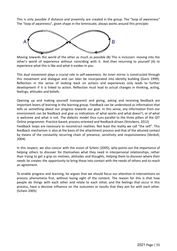This is only possible if distance and proximity are created in the group. The "loop of awareness" The "loop of awareness", given shape in the lemniscate, always works around this principle:



Moving towards the world of the other as much as possible (B) This is inclusion: moving into the other's world of experience without coinciding with it. And then returning to yourself (A) to experience what this is like and what it evokes in you.

This dual movement plays a crucial role in self-awareness. An inner mirror is constructed through this movement and dialogue and can later be incorporated into identity building (Goris 1999). Reflection in the sense of looking back on actions and experiences only leads to further development if it is linked to action. Reflection must lead to actual changes in thinking, acting, feelings, attitudes and beliefs.

Opening up and making yourself transparent and giving, asking and receiving feedback are important levers of learning in the learning group. Feedback can be understood as information that tells us something about our progress towards our goal. In this sense, any information from our environment can be feedback and give us indications of what works and what doesn't, or of what is welcome and what is not. The didactic model thus runs parallel to the three pillars of the QIT Online programme: Practice-based, process-oriented and feedback-driven (Stinckens, 2012) Feedback loops are necessary to reconstruct realities. Not least the reality we call "the self". This feedback mechanism is also at the basis of the attachment process and that of the attuned contact by means of the constantly recurring chain of presence, sensitivity and responsiveness (Verdult, 2004).

In this respect, we also concur with the vision of Schein (2005), who points out the importance of helping others to discover for themselves what they need in interpersonal relationships, rather than trying to get a grip on motives, attitudes and thoughts. Helping them to discover where their needs lie creates the opportunity to bring these into contact with the needs of others and to reach an agreement.

To enable progress and learning, he argues that we should focus our attention in interventions on process phenomena first, without losing sight of the content. The reason for this is that how people do things with each other and relate to each other, and the feelings that occur in this process, have a decisive influence on the outcomes or results that they aim for with each other. (Schein 2005)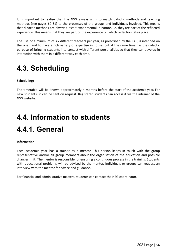It is important to realise that the NSG always aims to match didactic methods and teaching methods (see pages 60-61) to the processes of the groups and individuals involved. This means that didactic methods are always Gestalt-experimental in nature, i.e. they are part of the reflected experience. This means that they are part of the experience on which reflection takes place.

The use of a minimum of six different teachers per year, as prescribed by the EAP, is intended on the one hand to have a rich variety of expertise in house, but at the same time has the didactic purpose of bringing students into contact with different personalities so that they can develop in interaction with them in a different way each time.

# **4.3. Scheduling**

### **Scheduling:**

The timetable will be known approximately 4 months before the start of the academic year. For new students, it can be sent on request. Registered students can access it via the intranet of the NSG website.

# **4.4. Information to students 4.4.1. General**

#### **Information:**

Each academic year has a trainer as a mentor. This person keeps in touch with the group representative and/or all group members about the organisation of the education and possible changes in it. The mentor is responsible for ensuring a continuous process in the training. Students with educational problems will be advised by the mentor. Individuals or groups can request an interview with the mentor for advice and guidance.

For financial and administrative matters, students can contact the NSG coordinator.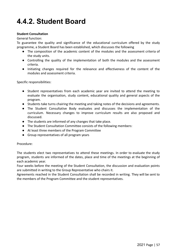# **4.4.2. Student Board**

### **Student Consultation**

General function:

To guarantee the quality and significance of the educational curriculum offered by the study programme, a Student Board has been established, which discusses the following

- The composition of the academic content of the modules and the assessment criteria of the study units.
- Controlling the quality of the implementation of both the modules and the assessment criteria.
- Initiating changes required for the relevance and effectiveness of the content of the modules and assessment criteria.

Specific responsibilities:

- Student representatives from each academic year are invited to attend the meeting to evaluate the organisation, study content, educational quality and general aspects of the program.
- Students take turns chairing the meeting and taking notes of the decisions and agreements.
- The Student Consultative Body evaluates and discusses the implementation of the curriculum. Necessary changes to improve curriculum results are also proposed and discussed.
- The students are informed of any changes that take place.
- The Student Consultation Committee consists of the following members:
- At least three members of the Program Committee
- Group representatives of all program years

#### Procedure:

The students elect two representatives to attend these meetings. In order to evaluate the study program, students are informed of the dates, place and time of the meetings at the beginning of each academic year.

Four weeks before the meeting of the Student Consultation, the discussion and evaluation points are submitted in writing to the Group Representative who chairs it.

Agreements reached in the Student Consultation shall be recorded in writing. They will be sent to the members of the Program Committee and the student representatives.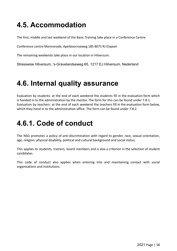# **4.5. Accommodation**

The first, middle and last weekend of the Basic Training take place in a Conference Centre.

Conference centre Mennorode, Apeldoornseweg 185 8075 RJ Elspeet

The remaining weekends take place in our location in Hilversum.

Stresswise Hilversum, 's-Gravelandseweg 65, 1217 EJ Hilversum, Nederland

## **4.6. Internal quality assurance**

Evaluation by students: at the end of each weekend the students fill in the evaluation form which is handed in to the administration by the mentor. The form for this can be found under 7.8.1. Evaluation by teachers: at the end of each weekend the teachers fill in the evaluation form below, which they hand in to the administration office. The form can be found under 7.8.2.

## **4.6.1. Code of conduct**

The NSG promotes a policy of anti-discrimination with regard to gender, race, sexual orientation, age, religion, physical disability, political and cultural background and social status.

This applies to students, trainers, board members and is also a criterion in the selection of student candidates.

This code of conduct also applies when entering into and maintaining contact with social organisations and institutions.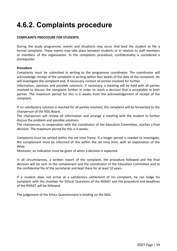# **4.6.2. Complaints procedure**

### **COMPLAINTS PROCEDURE FOR STUDENTS**

During the study programme, events and situations may occur that lead the student to file a formal complaint. These events may take place between students or in relation to staff members or members of the organisation. In the complaints procedure, confidentiality is considered a prerequisite.

#### **Procedure**

Complaints must be submitted in writing to the programme coordinator. The coordinator will acknowledge receipt of the complaint in writing within four weeks of the date of the complaint. He will investigate the complaint and, if necessary, contact all parties involved for further

information, opinions and possible solutions. If necessary, a meeting will be held with all parties involved to discuss the complaint further in order to reach a decision that is acceptable to both parties. The maximum period for this is 6 weeks from the acknowledgement of receipt of the complaint.

If no satisfactory solution is reached for all parties involved, the complaint will be forwarded to the chairperson of the NSG Board.

The chairperson will review all information and arrange a meeting with the student to further discuss the problem and possible solutions.

The chairperson, in cooperation with the coordinator of the Education Committee, reaches a final decision. The maximum period for this is 4 weeks.

Complaints must be settled within the set time frame. If a longer period is needed to investigate, the complainant must be informed of this within the set time limit, with an explanation of the delay.

Moreover, an indication must be given of when a decision is expected.

In all circumstances, a written report of the complaint, the procedure followed and the final decision will be sent to the complainant and the coordinator of the Education Committee and to the confidential file of the secretariat and kept there for at least 10 years.

If a student does not arrive at a satisfactory settlement of his complaint, he can lodge his complaint with the chamber for Ethical Questions of the NVAGT and the procedure and deadlines of the NVAGT will be followed.

The judgement of the Ethics Questionnaire is binding on the NSG.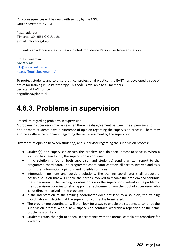Any consequences will be dealt with swiftly by the NSG. Office secretariat NVAGT

Postal address Tijmstraat 39, 3551 GK Utrecht e-mail: info@nvagt.eu

Students can address issues to the appointed Confidence Person ( vertrouwenspersoon):

Frouke Beekman 06-42904242 [info@froukebeekman.nl](mailto:info@froukebeekman.nl) <https://froukebeekman.nl/>

To protect students and to ensure ethical professional practice, the EAGT has developed a code of ethics for training in Gestalt therapy. This code is available to all members. Secretariat EAGT office eagtoffice@planet.nl

## **4.6.3. Problems in supervision**

Procedure regarding problems in supervision

A problem in supervision may arise when there is a disagreement between the supervisor and one or more students have a difference of opinion regarding the supervision process. There may also be a difference of opinion regarding the last assessment by the supervisor.

Difference of opinion between student(s) and supervisor regarding the supervision process:

- Student(s) and supervisor discuss the problem and do their utmost to solve it. When a solution has been found, the supervision is continued.
- If no solution is found, both supervisor and student(s) send a written report to the programme coordinator. The programme coordinator contacts all parties involved and asks for further information, opinions and possible solutions.
- information, opinions and possible solutions. The training coordinator shall propose a possible solution that will enable the parties involved to resolve the problem and continue the supervision. If the training coordinator is also the supervisor involved in the problems, the supervision coordinator shall appoint a replacement from the pool of supervisors who is not directly involved in the problems.
- If the intervention of the training coordinator does not lead to a solution, the training coordinator will decide that the supervision contract is terminated.
- The programme coordinator will then look for a way to enable the students to continue the supervision process with a new supervision contract, whereby a repetition of the same problems is unlikely.
- Students retain the right to appeal in accordance with the normal complaints procedure for students.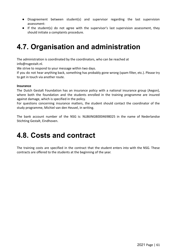- Disagreement between student(s) and supervisor regarding the last supervision assessment:
- If the student(s) do not agree with the supervisor's last supervision assessment, they should initiate a complaints procedure.

## **4.7. Organisation and administration**

The administration is coordinated by the coordinators, who can be reached at info@nsgestalt.nl.

We strive to respond to your message within two days.

If you do not hear anything back, something has probably gone wrong (spam filter, etc.). Please try to get in touch via another route.

### **Insurance**

The Dutch Gestalt Foundation has an insurance policy with a national insurance group (Aegon), where both the foundation and the students enrolled in the training programme are insured against damage, which is specified in the policy.

For questions concerning insurance matters, the student should contact the coordinator of the study programme, Michiel van den Heuvel, in writing.

The bank account number of the NSG is: NL86INGB0004698025 in the name of Nederlandse Stichting Gestalt, Eindhoven.

## **4.8. Costs and contract**

The training costs are specified in the contract that the student enters into with the NSG. These contracts are offered to the students at the beginning of the year.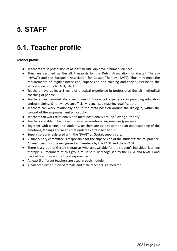# **5. STAFF**

# **5.1. Teacher profile**

### **Teacher profile.**

- Teachers are in possession of at least an HBO diploma in human sciences.
- They are certified as Gestalt therapists by the Dutch Association for Gestalt Therapy (NVAGT) and the European Association for Gestalt Therapy (EAGT). Thus they meet the requirements of regular intervision, supervision and training and they subscribe to the ethical code of the NVAGT/EAGT.
- Teachers have at least 5 years of practical experience in professional Gestalt methodical coaching of people.
- Teachers can demonstrate a minimum of 5 years of experience in providing education and/or training. Or they have an officially recognised teaching qualification.
- Teachers can work relationally and in the meta position around the dialogue, within the context of the empowerment philosophy.
- Teachers can work relationally and meta positionally around "loving authority".
- Teachers are able to be present in intense emotional experiences (presence).
- Together with clients and students, teachers are able to come to an understanding of the emotions, feelings and needs that underlie certain behaviour.
- Supervisors are registered with the NVAGT as Gestalt supervisors.
- A supervisory committee is responsible for the supervision of the students' clinical practice. All members must be recognised as members by the EAGT and the NVAGT.
- There is a group of Gestalt therapists who are available for the student's individual learning therapy. All members of this group must be fully recognised by the EAGT and NVAGT and have at least 5 years of clinical experience.
- At least 5 different teachers are used in each module.
- A balanced distribution of female and male teachers is aimed for.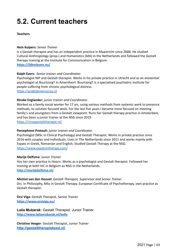# **5.2. Current teachers**

#### **Teachers**

#### **Hein Kuipers:** *Senior Trainer*

Is a Gestalt therapist and has an independent practice in Maastricht since 2008. He studied Cultural Anthropology (prop.) and Humanistics (MA) in the Netherlands and followed the Gestalt therapy training at the Institute for Communication in Belgium. **<https://lijfenleven.nu/>**

#### **Ralph Evers***: Senior trainer and Coordinator.*

Psychologist NIP and Gestalt therapist. Works in his private practice in Utrecht and as an existential psychologist at BuurtzorgT in Amersfoort. BuurtzorgT is a specialised psychiatric institute for people suffering from chronic psychological distress.

<https://praktijkmercurius.nl>

#### **Rinske Englander:** *junior trainer and Coordinator.*

Worked as a family social worker for 17 yrs, using various methods from systemic work to presence methods, to solution focused work. For the last five years I became more focused on meeting family's and youngsters from a Gestalt viewpoint. Runs her Gestalt therapy practice in Amsterdam, and has been a junior trainer at the NSG since 2019.

<https://rinsegestalttherapie.nl/>

#### **Persephone Protouli:** *junior trainer and Coordinator.*

Psychologist (MSc in Clinical Psychology) and Gestalt Therapist. Works in private practice since 2016 with couples and individuals. Lives in The Netherlands since 2011 and works mainly with Expats in Greek, Romanian and English. Studied Gestalt Therapy at the NSG. <https://www.expatsintherapy.com/>

#### **Marije Delfsma:** *Junior Trainer*

Has her own practice in Hoorn. Works as a psychologist and Gestalt therapist. Followed her training at both IVC in Belgium as NSG in the Netherlands. **<http://marijedelfsma.nl/>**

#### **Michiel van den Heuvel:** *Gestalt Therapist, Supervisor and Senior Trainer*

Drs. in Philosophy, MSc in Gestalt Therapy. European Certificate of Psychotherapy, own practice as Gestalt therapist.

**Orsi Viga:** Gestalt Therapist, Senior Trainer **https://www.orsiviga.eu/**

**Laila Mubarak:** Gestalt Therapist, Junior Trainer **<http://www.lailamubarak.nl/belle>**

**Christine Veeger**: Gestalt Therapist, Junior Trainer **http://gestalttherapietexel.nl/**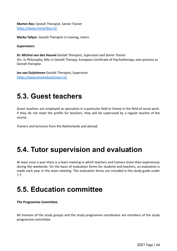**Marten Bos:** Gestalt Therapist, Senior Trainer https://www.martenbos.nl/

**Marko Talijan**: Gestalt Therapist in training, Intern

**Supervisors:**

**Dr. Michiel van den Heuvel** *Gestalt Therapist, Supervisor and Senior Trainer* Drs. in Philosophy, MSc in Gestalt Therapy. European Certificate of Psychotherapy, own practice as Gestalt therapist.

**Ien van Duijnhoven** Gestalt Therapist, Supervisor https://www.ienvanduijnhoven.nl/

### **5.3. Guest teachers**

Guest teachers are employed as specialists in a particular field or theme in the field of social work. If they do not meet the profile for teachers, they will be supervised by a regular teacher of the course.

Trainers and lecturers from the Netherlands and abroad.

## **5.4. Tutor supervision and evaluation**

At least once a year there is a team meeting in which teachers and trainers share their experiences during the weekends. On the basis of evaluation forms for students and teachers, an evaluation is made each year in the team meeting. The evaluation forms are included in this study guide under 7.7.

### **5.5. Education committee**

**The Programme Committee**

All mentors of the study groups and the study programme coordinator are members of the study programme committee.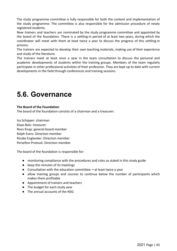The study programme committee is fully responsible for both the content and implementation of the study programme. The committee is also responsible for the admission procedure of newly registered students.

New trainers and teachers are nominated by the study programme committee and appointed by the board of the foundation. There is a settling-in period of at least two years, during which the coordinator will meet with them at least twice a year to discuss the progress of this settling-in process.

The trainers are expected to develop their own teaching materials, making use of their experience and study of the literature.

The trainers meet at least once a year in the team consultation to discuss the personal and academic developments of students within the training groups. Members of the team regularly participate in other professional activities of their profession. They are kept up to date with current developments in the field through conferences and training sessions.

## **5.6. Governance**

### **The Board of the Foundation**

The board of the foundation consists of a chairman and a treasurer:

Isa Schipper: chairman Klaas Bals: treasurer Roos Knap: general board member Ralph Evers: Direction member Rinske Englander: Direction member Persefoni Protouli: Direction member

The board of the foundation is responsible for:

- monitoring compliance with the procedures and rules as stated in this study guide
- keep the minutes of its meetings
- Consultation with the education committee: at least twice a year
- allow training groups and courses to continue below the number of participants which makes them profitable
- Appointment of trainers and teachers
- The budget for each study year
- The annual accounts of the NSG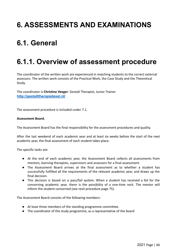# **6. ASSESSMENTS AND EXAMINATIONS**

# **6.1. General**

## **6.1.1. Overview of assessment procedure**

The coordinator of the written work are experienced in matching students to the correct external assessors. The written work consists of the Practical Work, the Case Study and the Theoretical Study.

The coordinator is **Christine Veeger**: Gestalt Therapist, Junior Trainer **http://gestalttherapietexel.nl/**

The assessment procedure is included under 7.1.

#### **Assessment Board.**

The Assessment Board has the final responsibility for the assessment procedures and quality.

After the last weekend of each academic year and at least six weeks before the start of the next academic year, the final assessment of each student takes place.

The specific tasks are:

- At the end of each academic year, the Assessment Board collects all assessments from mentors, learning therapists, supervisors and assessors for a final assessment.
- The Assessment Board arrives at the final assessment as to whether a student has successfully fulfilled all the requirements of the relevant academic year, and draws up the final decision.
- This decision is based on a pass/fail system. When a student has received a fail for the concerning academic year, there is the possibility of a one-time resit. The mentor will inform the student concerned (see resit procedure page 75).

The Assessment Board consists of the following members:

- At least three members of the standing programme committee.
- The coordinator of the study programme, as a representative of the board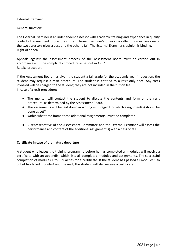#### External Examiner

### General function:

The External Examiner is an independent assessor with academic training and experience in quality control of assessment procedures. The External Examiner's opinion is called upon in case one of the two assessors gives a pass and the other a fail. The External Examiner's opinion is binding. Right of appeal:

Appeals against the assessment process of the Assessment Board must be carried out in accordance with the complaints procedure as set out in 4.6.2. Retake procedure

If the Assessment Board has given the student a fail grade for the academic year in question, the student may request a resit procedure. The student is entitled to a resit only once. Any costs involved will be charged to the student; they are not included in the tuition fee. In case of a resit procedure:

- The mentor will contact the student to discuss the contents and form of the resit procedure, as determined by the Assessment Board.
- The agreements will be laid down in writing with regard to: which assignment(s) should be done as yet?
- within what time frame these additional assignment(s) must be completed.
- A representative of the Assessment Committee and the External Examiner will assess the performance and content of the additional assignment(s) with a pass or fail.

#### **Certificate in case of premature departure**

A student who leaves the training programme before he has completed all modules will receive a certificate with an appendix, which lists all completed modules and assignments. The successful completion of modules 1 to 3 qualifies for a certificate. If the student has passed all modules 1 to 3, but has failed module 4 and the resit, the student will also receive a certificate.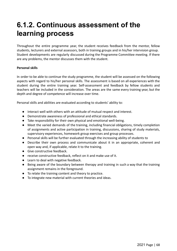## **6.1.2. Continuous assessment of the learning process**

Throughout the entire programme year, the student receives feedback from the mentor, fellow students, lecturers and external assessors, both in training groups and in his/her intervision group. Student developments are regularly discussed during the Programme Committee meeting. If there are any problems, the mentor discusses them with the student.

### **Personal skills**

In order to be able to continue the study programme, the student will be assessed on the following aspects with regard to his/her personal skills. The assessment is based on all experiences with the student during the entire training year. Self-assessment and feedback by fellow students and teachers will be included in the consideration. The areas are the same every training year, but the depth and degree of competence will increase over time.

Personal skills and abilities are evaluated according to students' ability to:

- Interact well with others with an attitude of mutual respect and interest.
- Demonstrate awareness of professional and ethical standards.
- Take responsibility for their own physical and emotional well-being.
- Meet the varied demands of the training, including financial obligations, timely completion of assignments and active participation in training, discussions, sharing of study materials, supervisory experiences, homework group exercises and group processes.
- Personal skills will be further evaluated through the increasing ability of students to
- Describe their own process and communicate about it in an appropriate, coherent and open way and, if applicable, relate it to the training.
- Give constructive feedback.
- receive constructive feedback, reflect on it and make use of it.
- Learn to deal with negative feedback.
- Being aware of the boundary between therapy and training in such a way that the training assignment remains in the foreground.
- To relate the training content and theory to practice.
- To integrate new material with current theories and ideas.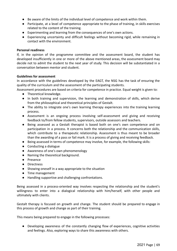- Be aware of the limits of the individual level of competence and work within them.
- Participate, at a level of competence appropriate to the phase of training, in skills exercises related to the content of the training.
- Experimenting and learning from the consequences of one's own actions.
- Experiencing uncertainty and difficult feelings without becoming rigid, while remaining in contact with the environment.

#### **Personal readiness**

If, in the opinion of the programme committee and the assessment board, the student has developed insufficiently in one or more of the above mentioned areas, the assessment board may decide not to admit the student to the next year of study. This decision will be substantiated in a conversation between mentor and student.

### **Guidelines for assessment**

In accordance with the guidelines developed by the EAGT, the NSG has the task of ensuring the quality of the curriculum and the assessment of the participating students.

Assessment procedures are based on criteria for competence in practice. Equal weight is given to:

- Theoretical knowledge.
- In both training and supervision, the learning and demonstration of skills, which derive from the philosophical and theoretical principles of Gestalt.
- The ability to integrate one's own learning therapy experiences into the training learning process.
- Assessment is an ongoing process involving self-assessment and giving and receiving feedback to/from fellow students, supervisors, outside assessors and teachers.
- Being assessed as a Gestalt therapist is based both on one's own competence and on participation in a process. It concerns both the relationship and the communication skills, which contribute to a therapeutic relationship. Assessment is thus meant to be broader than the awarding of a pass or fail mark. It is a process of giving and receiving feedback.
- Being assessed in terms of competence may involve, for example, the following skills:
- Conducting a dialogue
- Awareness of one's own phenomenology
- Naming the theoretical background.
- Presence
- Directness
- Showing oneself in a way appropriate to the situation
- Time management
- Handling supportive and challenging confrontations.

Being assessed in a process-oriented way involves respecting the relationship and the student's willingness to enter into a dialogical relationship with him/herself, with other people and ultimately with clients.

Gestalt therapy is focused on growth and change. The student should be prepared to engage in this process of growth and change as part of their training.

This means being prepared to engage in the following processes:

● Developing awareness of the constantly changing flow of experiences, cognitive activities and feelings. Also, exploring ways to share this awareness with others.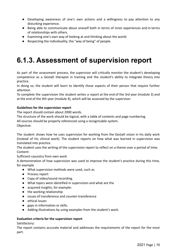- Developing awareness of one's own actions and a willingness to pay attention to any disturbing experience.
- Being able to communicate about oneself both in terms of inner experiences and in terms of relationships with others.
- Examining one's own way of looking at and thinking about the world.
- Respecting the individuality, the "way of being" of people.

## **6.1.3. Assessment of supervision report**

As part of the assessment process, the supervisor will critically monitor the student's developing competence as a Gestalt therapist in training and the student's ability to integrate theory into practice.

In doing so, the student will learn to identify those aspects of their person that require further attention.

To complete the supervision the student writes a report at the end of the 3rd year (module 3) and at the end of the 4th year (module 4), which will be assessed by the supervisor.

### **Guidelines for the supervision report**

The report should contain about 2000 words.

The structure of the work should be logical, with a table of contents and page numbering.

All sources should be properly referenced using a recognisable system.

Objective:

The student shows how he uses supervision for working from the Gestalt vision in his daily work (instead of his clinical work). The student reports on how what was learned in supervision was translated into practice.

The student uses the writing of the supervision report to reflect on a theme over a period of time. Content:

Sufficient casuistry from own work

A demonstration of how supervision was used to improve the student's practice during this time, for example

- What supervision methods were used, such as
- Process report
- Copy of video/sound recording.
- What topics were identified in supervision and what are the
- acquired insights, for example:
- the working relationship
- issues of transference and counter-transference
- ethical issues
- gaps in information or skills.
- Adding illustrations by using examples from the student's work.

### **Evaluation criteria for the supervision report**

#### Satisfactory:

The report contains accurate material and addresses the requirements of the report for the most part.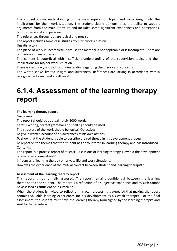The student shows understanding of the main supervision topics and some insight into the implications for their work situation. The student clearly demonstrates the ability to support arguments from the main literature and includes some significant experiences and perceptions, both professional and personal.

The references throughout are logical and precise.

The report includes some case studies from his work situation.

Unsatisfactory:

The piece of work is incomplete, because the material is not applicable or is incomplete. There are omissions and inaccuracies.

The content is superficial with insufficient understanding of the supervision topics and their implications for his/her work situation.

There is inaccuracy and lack of understanding regarding the theory and concepts.

The writer shows limited insight and awareness. References are lacking in accordance with a recognisable format and are illogical.

## **6.1.4. Assessment of the learning therapy report**

### **The learning therapy report**

Guidelines:

The report should be approximately 2000 words.

Careful writing, correct grammar and spelling should be used.

The structure of the work should be logical. Objective:

To give a written account of his awareness of his own actions.

To show that the student is able to describe the red thread in his development process.

To report on the themes that the student has encountered in learning therapy and has introduced. Contents:

The report is a process report of at least 10 sessions of learning therapy. How did the development of awareness come about?

Influences of learning therapy on private life and work situations.

How was the experience of the mutual contact between student and learning therapist?

#### **Assessment of the learning therapy report**

This report is not formally assessed. The report remains confidential between the learning therapist and the student. The report is a reflection of a subjective experience and as such cannot be assessed as sufficient or insufficient.

When the student is invited to reflect on his own process, it is expected that making the report contains valuable learning experiences for his development as a Gestalt therapist. For the final assessment, the student must have the learning therapy form signed by the learning therapist and sent to the secretariat.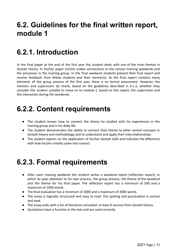## **6.2. Guidelines for the final written report, module 1**

## **6.2.1. Introduction**

In the final paper at the end of the first year the student deals with one of the main themes in Gestalt theory. In his/her paper he/she makes connections to the various training weekends and the processes in the training group. In the final weekend students present their final report and receive feedback from fellow students and their mentor(s). As the final report contains many elements of the group process of the first year, there is no formal assessment. However, the mentors and supervisors do check, based on the guidelines described in 6.1.2, whether they consider the student suitable to move on to module 2, based on this report, the supervision and the interaction during the weekends.

## **6.2.2. Content requirements**

- The student knows how to connect the theory he studied with his experiences in the training group and in his daily life.
- The student demonstrates the ability to connect their theme to other central concepts in Gestalt theory and methodology and to understand and apply their interrelationships.
- The student reports on the application of his/her Gestalt skills and indicates the difference with how he/she initially came into contact.

## **6.2.3. Formal requirements**

- After each training weekend the student writes a weekend report (reflection report), in which he pays attention to his own process, the group process, the theme of the weekend and the theme for his final paper. The reflection report has a minimum of 500 and a maximum of 1000 words.
- The final evaluation has a minimum of 2000 and a maximum of 3000 words.
- The essay is logically structured and easy to read. The spelling and punctuation is correct and neat.
- The essay ends with a list of literature consulted: at least 8 sources from Gestalt theory.
- Quotations have a function in the text and are used correctly.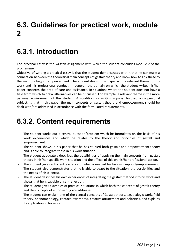# **6.3. Guidelines for practical work, module 2**

### **6.3.1. Introduction**

The practical essay is the written assignment with which the student concludes module 2 of the programme.

Objective of writing a practical essay is that the student demonstrates with it that he can make a connection between the theoretical main concepts of gestalt theory and know how to link these to the methodology of empowerment. The student deals in his paper with a relevant theme for his work and his professional conduct. In general, the domain on which the student writes his/her paper concerns the area of care and assistance. In situations where the student does not have a field from which to draw, alternatives can be discussed. For example, a relevant theme in the more personal environment of the student. A condition for writing a paper focused on a personal subject, is that in this paper the main concepts of gestalt theory and empowerment should be dealt with/are addressed in accordance with the formulated requirements.

### **6.3.2. Content requirements**

- The student works out a central question/problem which he formulates on the basis of his work experiences and which he relates to the theory and principles of gestalt and empowerment.
- The student shows in his paper that he has studied both gestalt and empowerment theory and is able to integrate these in his work situation.
- The student adequately describes the possibilities of applying the main concepts from gestalt theory in his/her specific work situation and the effects of this on his/her professional action.
- The student gives sufficient evidence of what is needed for his own support/empowerment. The student also demonstrates that he is able to adapt to the situation, the possibilities and the needs of his client(s).
- The student describes his own experiences of integrating the gestalt method into his work and shows that he is capable of self-reflection.
- The student gives examples of practical situations in which both the concepts of gestalt theory and the concepts of empowering are addressed.
- The student can explain one of the central concepts of Gestalt theory, e.g. dialogic work, field theory, phenomenology, contact, awareness, creative attunement and polarities, and explains its application in his work.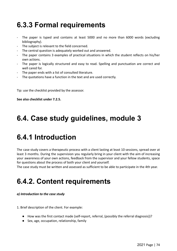# **6.3.3 Formal requirements**

- The paper is typed and contains at least 5000 and no more than 6000 words (excluding bibliography).
- The subject is relevant to the field concerned.
- The central question is adequately worked out and answered.
- The paper contains 3 examples of practical situations in which the student reflects on his/her own actions.
- The paper is logically structured and easy to read. Spelling and punctuation are correct and well cared for.
- The paper ends with a list of consulted literature.
- The quotations have a function in the text and are used correctly.

Tip: use the checklist provided by the assessor.

#### **See also checklist under 7.2.5.**

### **6.4. Case study guidelines, module 3**

### **6.4.1 Introduction**

The case study covers a therapeutic process with a client lasting at least 10 sessions, spread over at least 3 months. During the supervision you regularly bring in your client with the aim of increasing your awareness of your own actions, feedback from the supervisor and your fellow students, space for questions about the process of both your client and yourself.

The case study must be written and assessed as sufficient to be able to participate in the 4th year.

# **6.4.2. Content requirements**

#### *a) Introduction to the case study*

1. Brief description of the client. For example:

- How was the first contact made (self-report, referral, (possibly the referral diagnosis))?
- Sex, age, occupation, relationship, family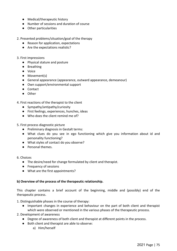- Medical/therapeutic history
- Number of sessions and duration of course
- Other particularities
- 2. Presented problems/situation/goal of the therapy
	- Reason for application, expectations
	- Are the expectations realistic?
- 3. First impressions
	- Physical stature and posture
	- Breathing
	- Voice
	- Movement(s)
	- General appearance (appearance, outward appearance, demeanour)
	- Own support/environmental support
	- Contact
	- Other
- 4. First reactions of the therapist to the client
	- Sympathy/antipathy/curiosity
	- First feelings, experiences, hunches, ideas
	- Who does the client remind me of?
- 5. First process diagnostic picture
	- Preliminary diagnosis in Gestalt terms:
	- What clues do you see in ego functioning which give you information about id and personality functioning?
	- What styles of contact do you observe?
	- Personal themes.
- 6. Choices
	- The desire/need for change formulated by client and therapist.
	- Frequency of sessions
	- What are the first appointments?

#### **b) Overview of the process of the therapeutic relationship.**

This chapter contains a brief account of the beginning, middle and (possibly) end of the therapeutic process.

- 1. Distinguishable phases in the course of therapy:
	- Important changes in experience and behaviour on the part of both client and therapist which were observed or mentioned in the various phases of the therapeutic process.
- 2. Development of awareness
	- Degree of awareness of both client and therapist at different points in the process.
	- Both client and therapist are able to observe:
		- a) Him/herself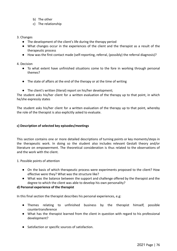- b) The other
- c) The relationship

#### 3. Changes

- The development of the client's life during the therapy period
- What changes occur in the experiences of the client and the therapist as a result of the therapeutic process
- How was the first contact made (self-reporting, referral, (possibly) the referral diagnosis)?

#### 4. Decision

- To what extent have unfinished situations come to the fore in working through personal themes?
- The state of affairs at the end of the therapy or at the time of writing
- The client's written (literal) report on his/her development;

The student asks his/her client for a written evaluation of the therapy up to that point, in which he/she expressly states

The student asks his/her client for a written evaluation of the therapy up to that point, whereby the role of the therapist is also explicitly asked to evaluate.

#### **c) Description of selected key episodes/meetings**

This section contains one or more detailed descriptions of turning points or key moments/steps in the therapeutic work. In doing so the student also includes relevant Gestalt theory and/or literature on empowerment. The theoretical consideration is thus related to the observations of and the work with the client.

#### 1. Possible points of attention

- On the basis of which therapeutic process were experiments proposed to the client? How effective were they? What was the structure like?
- What was the balance between the support and challenge offered by the therapist and the degree to which the client was able to develop his own personality?

#### **d) Personal experience of the therapist**

In this final section the therapist describes his personal experiences, e.g:

- Themes relating to unfinished business by the therapist himself, possible countertransference
- What has the therapist learned from the client in question with regard to his professional development?
- Satisfaction or specific sources of satisfaction.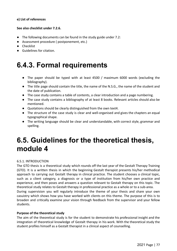#### **e) List of references**

#### **See also checklist under 7.2.6.**

- The following documents can be found in the study guide under 7.2:
- Assessment procedure ( postponement, etc.)
- Checklist
- Guidelines for citation.

### **6.4.3. Formal requirements**

- The paper should be typed with at least 4500 / maximum 6000 words (excluding the bibliography).
- The title page should contain the title, the name of the N.S.G., the name of the student and the date of publication.
- The case study contains a table of contents, a clear introduction and a page numbering.
- The case study contains a bibliography of at least 8 books. Relevant articles should also be mentioned.
- Quotations should be clearly distinguished from the own text4.
- The structure of the case study is clear and well-organised and gives the chapters an equal typographical shape.
- The writing language should be clear and understandable, with correct style, grammar and spelling.

### **6.5. Guidelines for the theoretical thesis, module 4**

#### 6.5.1. INTRODUCTION

The GTO thesis is a theoretical study which rounds off the last year of the Gestalt Therapy Training (GTO). It is a written thesis in which the beginning Gestalt therapist presents his/her methodical approach to carrying out Gestalt therapy in clinical practice. The student chooses a clinical topic, such as a client category, a diagnosis or a type of institution from his/her own practice and experience, and then poses and answers a question relevant to Gestalt therapy on this topic. The theoretical study relates to Gestalt therapy in professional practice as a whole or to a sub-area.

During supervision you will regularly introduce the theme of your thesis and share your own casuistry which shows how you have worked with clients on this theme. The purpose of this is to broaden and critically examine your vision through feedback from the supervisor and your fellow students.

#### **Purpose of the theoretical study**

The aim of the theoretical study is for the student to demonstrate his professional insight and the integration of theoretical knowledge of Gestalt therapy in his work. With the theoretical study the student profiles himself as a Gestalt therapist in a clinical aspect of counselling.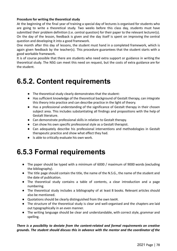#### **Procedure for writing the theoretical study**

At the beginning of the final year of training a special day of lectures is organised for students who are going to write a theoretical study. Two weeks before this class day, students must have submitted their problem definition (i.e. central question) for their paper to the relevant lecturer(s). On the day of the lesson, feedback is given and the day itself is spent on improving the central question and developing it into a good framework.

One month after this day of lessons, the student must hand in a completed framework, which is again given feedback by the teacher(s). This procedure guarantees that the student starts with a good workable framework.

It is of course possible that there are students who need extra support or guidance in writing the theoretical study. The NSG can meet this need on request, but the costs of extra guidance are for the student.

### **6.5.2. Content requirements**

- The theoretical study clearly demonstrates that the student:
- Has sufficient knowledge of the theoretical background of Gestalt therapy, can integrate this theory into practice and can describe practice in the light of theory.
- Has a professional understanding of the significance of Gestalt therapy in their chosen subject area. This includes substantiating all findings and propositions with the help of Gestalt literature.
- Can demonstrate professional skills in relation to Gestalt therapy.
- Can show his own specific professional style as a Gestalt therapist.
- Can adequately describe his professional interventions and methodologies in Gestalt therapeutic practice and show what effect they had.
- Is able to critically evaluate his own work.

### **6.5.3 Formal requirements**

- The paper should be typed with a minimum of 6000 / maximum of 9000 words (excluding the bibliography).
- The title page should contain the title, the name of the N.S.G., the name of the student and the date of publication.
- The theoretical study contains a table of contents, a clear introduction and a page numbering.
- The theoretical study includes a bibliography of at least 8 books. Relevant articles should also be mentioned.
- Quotations should be clearly distinguished from the own text4.
- The structure of the theoretical study is clear and well-organised and the chapters are laid out typographically in an even manner.
- The writing language should be clear and understandable, with correct style, grammar and spelling.

#### *There is a possibility to deviate from the content-related and formal requirements on creative grounds. The student should discuss this in advance with the mentor and the coordinator of the*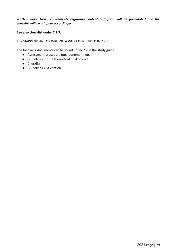#### *written work. New requirements regarding content and form will be formulated and the checklist will be adapted accordingly.*

#### **See also checklist under 7.2.7.**

The STAPPENPLAN FOR WRITING A WORK IS INCLUDED IN 7.2.3.

The following documents can be found under 7.2 in the study guide:

- Assessment procedure (postponement, etc.)
- Guidelines for the theoretical final project
- Checklist
- Guidelines APA citation.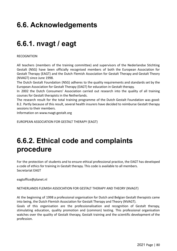# **6.6. Acknowledgements**

# **6.6.1. nvagt / eagt**

**RECOGNITION** 

All teachers (members of the training committee) and supervisors of the Nederlandse Stichting Gestalt (NSG) have been officially recognised members of both the European Association for Gestalt Therapy (EAGT) and the Dutch Flemish Association for Gestalt Therapy and Gestalt Theory (NVAGT) since June 1998.

The Dutch Gestalt Foundation (NSG) adheres to the quality requirements and standards set by the European Association for Gestalt Therapy (EAGT) for education in Gestalt therapy.

In 2002 the Dutch Consumers' Association carried out research into the quality of all training courses for Gestalt therapists in the Netherlands.

The research result for the total training programme of the Dutch Gestalt Foundation was good: 8.2. Partly because of this result, several health insurers have decided to reimburse Gestalt therapy sessions to their members.

Information on www.nvagt-gestalt.org

EUROPEAN ASSOCIATION FOR GESTALT THERAPY (EAGT)

### **6.6.2. Ethical code and complaints procedure**

For the protection of students and to ensure ethical professional practice, the EAGT has developed a code of ethics for training in Gestalt therapy. This code is available to all members. Secretariat EAGT

eagtoffice@planet.nl

NETHERLANDS FLEMISH ASSOCIATION FOR GESTALT THERAPY AND THEORY (NVAGT)

At the beginning of 1998 a professional organisation for Dutch and Belgian Gestalt therapists came into being, the Dutch Flemish Association for Gestalt Therapy and Theory (NVAGT).

Goals of this organisation are the professionalisation and recognition of Gestalt therapy, stimulating education, quality promotion and (common) testing. This professional organisation watches over the quality of Gestalt therapy, Gestalt training and the scientific development of the profession.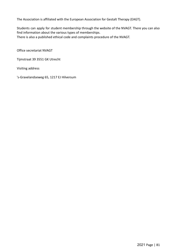The Association is affiliated with the European Association for Gestalt Therapy (EAGT).

Students can apply for student membership through the website of the NVAGT. There you can also find information about the various types of memberships. There is also a published ethical code and complaints procedure of the NVAGT.

Office secretariat NVAGT

Tijmstraat 39 3551 GK Utrecht

Visiting address

['s-Gravelandseweg 65, 1217 EJ Hilversum](https://www.nsg-academy.com/contact)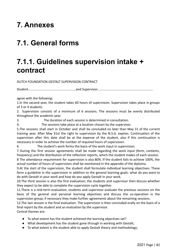### **7. Annexes**

# **7.1. General forms**

### **7.1.1. Guidelines supervision intake + contract**

DUTCH FOUNDATION GESTALT SUPERVISION CONTRACT

Student.....................................................and Supervisor..............................................................

agree with the following:

1.In the second year, the student takes 60 hours of supervision. Supervision takes place in groups of 3 or 4 students.

2. Supervision consists of a minimum of 6 sessions. The sessions must be evenly distributed throughout the academic year.

3. The duration of each session is determined in consultation.

4. The sessions take place at a location chosen by the supervisor.

5.The sessions shall start in October and shall be concluded no later than May 31 of the current training year. After May 31st the right to supervision by the N.S.G. expires. Continuation of the supervision after this date shall be at the expense of the student, also if this continuation is necessary in order to achieve the number of required hours of supervision.

6. The student's work forms the basis of the work input in supervision.

7.During the first session agreements shall be made regarding the work input (form, contents, frequency) and the distribution of the reflection reports, which the student makes of each session.

8 The attendance requirement for supervision is also 80%. If the student fails to achieve 100%, the actual number of hours of supervision shall be mentioned in the appendix of the diploma.

9.At the start of the supervision, the student shall formulate individual learning objectives. These form a guideline in the supervision in addition to the general learning goals: what do you want to do with Gestalt in your work and how do you apply Gestalt in your work.

10.The third session is also the first evaluation; the students and supervisor then discuss whether they expect to be able to complete the supervision cycle together.

11.There is a mid-term evaluation; students and supervisor evaluate the previous sessions on the basis of the general and personal learning objectives and discuss the co-operation in the supervision group; if necessary they make further agreements about the remaining sessions.

12.The last session is the final evaluation. The supervision is then concluded orally on the basis of a final report by the student and an evaluation by the supervisor.

Central themes are:

- To what extent has the student achieved the learning objectives set?
- What development has the student gone through in working with Gestalt;
- To what extent is the student able to apply Gestalt theory and methodology;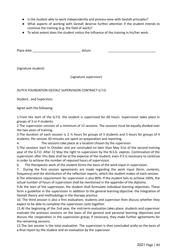- Is the student able to work independently and process-wise with Gestalt principles?
- What aspects of working with Gestalt deserve further attention if the student intends to continue the training (e.g. the field of work)?
- To what extent does the student notice the influence of the training in his/her work.

Place date \_\_\_\_\_\_\_\_\_\_\_\_\_\_\_\_\_\_\_\_\_\_\_\_\_\_\_ dstum \_\_\_\_\_\_\_\_\_\_\_\_\_\_\_\_\_\_\_\_\_\_\_\_\_\_\_

(signature student)

(signature supervisor)

DUTCH FOUNDATION GESTALT SUPERVISION CONTRACT G.T.O.

Student...and Supervisor.

Agree with the following:

1.From the start of the G.T.O. the student is supervised for 60 hours. Supervision takes place in groups of 3 or 4 students.

2.The supervision consists of a minimum of 12 sessions. The sessions must be equally divided over the two years of training.

3.The duration of each session is 2 ½ hours for groups of 3 students and 3 hours for groups of 4 students. Per session 30 minutes are spent on preparation and reporting.

4. The sessions take place at a location chosen by the supervisor.

5.The sessions start in October and are concluded no later than May 31st of the second training year of the G.T.O. After 31 May the right to supervision by the N.S.G. expires. Continuation of the supervision after this date shall be at the expense of the student, even if it is necessary to continue in order to achieve the number of required hours of supervision.

6. The therapeutic work of the student forms the basis of the work input in supervision.

7. During the first session agreements are made regarding the work input (form, contents, frequency) and the distribution of the reflection reports, which the student makes of each session.

8.The attendance requirement for supervision is also 80%. If the student fails to achieve 100%, the actual number of hours of supervision shall be mentioned in the appendix of the diploma.

9.At the start of the supervision, the student shall formulate individual learning objectives. These form a guideline in the supervision in addition to the general learning objective: the integration of Gestalt theory and methodology in the therapy practice.

10. The third session is also a first evaluation; students and supervisor then discuss whether they expect to be able to complete the supervision cycle together.

11.At the beginning of the 2nd year, the mid-term evaluation takes place; students and supervisor evaluate the previous sessions on the basis of the general and personal learning objectives and discuss the cooperation in the supervision group; if necessary, they make further agreements for the remaining sessions.

12.The last session is the total evaluation. The supervision is then concluded orally on the basis of a final report by the student and an evaluation by the supervisor.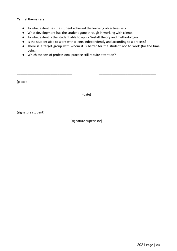Central themes are:

- To what extent has the student achieved the learning objectives set?
- What development has the student gone through in working with clients.
- To what extent is the student able to apply Gestalt theory and methodology?
- Is the student able to work with clients independently and according to a process?
- There is a target group with whom it is better for the student not to work (for the time being).
- Which aspects of professional practice still require attention?

(place)

(date)

\_\_\_\_\_\_\_\_\_\_\_\_\_\_\_\_\_\_\_\_\_\_\_\_\_\_\_\_\_\_\_ \_\_\_\_\_\_\_\_\_\_\_\_\_\_\_\_\_\_\_\_\_\_\_\_\_\_\_\_\_\_\_\_

(signature student)

(signature supervisor)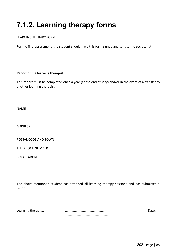# **7.1.2. Learning therapy forms**

#### LEARNING THERAPY FORM

For the final assessment, the student should have this form signed and sent to the secretariat

#### **Report of the learning therapist:**

This report must be completed once a year (at the end of May) and/or in the event of a transfer to another learning therapist.

\_\_\_\_\_\_\_\_\_\_\_\_\_\_\_\_\_\_\_\_\_\_\_\_\_\_\_\_\_\_\_\_\_\_\_\_

\_\_\_\_\_\_\_\_\_\_\_\_\_\_\_\_\_\_\_\_\_\_\_\_\_\_\_\_\_\_\_\_\_\_\_\_

NAME

ADDRESS

POSTAL CODE AND TOWN

TELEPHONE NUMBER

E-MAIL ADDRESS

The above-mentioned student has attended all learning therapy sessions and has submitted a report.

\_\_\_\_\_\_\_\_\_\_\_\_\_\_\_\_\_\_\_\_\_\_\_\_\_\_\_\_\_\_\_\_\_\_\_\_

| Learning therapist: |  |
|---------------------|--|
|                     |  |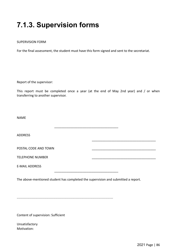# **7.1.3. Supervision forms**

#### SUPERVISION FORM

For the final assessment, the student must have this form signed and sent to the secretariat.

Report of the supervisor:

This report must be completed once a year (at the end of May 2nd year) and / or when transferring to another supervisor.

\_\_\_\_\_\_\_\_\_\_\_\_\_\_\_\_\_\_\_\_\_\_\_\_\_\_\_\_\_\_\_\_\_\_\_\_

\_\_\_\_\_\_\_\_\_\_\_\_\_\_\_\_\_\_\_\_\_\_\_\_\_\_\_\_\_\_\_\_\_\_\_\_

\_\_\_\_\_\_\_\_\_\_\_\_\_\_\_\_\_\_\_\_\_\_\_\_\_\_\_\_\_\_\_\_\_\_\_\_

NAME

ADDRESS

POSTAL CODE AND TOWN

TELEPHONE NUMBER

E-MAIL ADDRESS

The above-mentioned student has completed the supervision and submitted a report.

...........................................................................................................

Content of supervision: Sufficient

Unsatisfactory Motivation: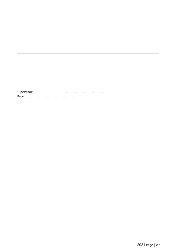Supervisor: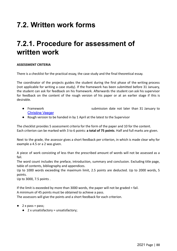# **7.2. Written work forms**

### **7.2.1. Procedure for assessment of written work**

#### **ASSESSMENT CRITERIA**

There is a checklist for the practical essay, the case study and the final theoretical essay.

The coordinator of the projects guides the student during the first phase of the writing process (not applicable for writing a case study). If the framework has been submitted before 31 January, the student can ask for feedback on his framework. Afterwards the student can ask his supervisor for feedback on the content of the rough version of his paper or at an earlier stage if this is desirable.

- Framework submission date not later than 31 January to [Christine Veeger](mailto:christineveeger@hotmail.com)
- Rough version to be handed in by 1 April at the latest to the Supervisor

The checklist provides 5 assessment criteria for the form of the paper and 10 for the content. Each criterion can be marked with 3 to 6 points: **a total of 75 points**. Half and full marks are given.

Next to the grade, the assessor gives a short feedback per criterion, in which is made clear why for example a 4.5 or a 2 was given.

A piece of work consisting of less than the prescribed amount of words will not be assessed as a fail.

The word count includes the preface, introduction, summary and conclusion. Excluding title page, table of contents, bibliography and appendices.

Up to 1000 words exceeding the maximum limit, 2.5 points are deducted. Up to 2000 words, 5 points.

Up to 3000, 7.5 points .

If the limit is exceeded by more than 3000 words, the paper will not be graded = fail.

A minimum of 45 points must be obtained to achieve a pass.

The assessors will give the points and a short feedback for each criterion.

- $\bullet$  2 x pass = pass;
	- 2 x unsatisfactory = unsatisfactory;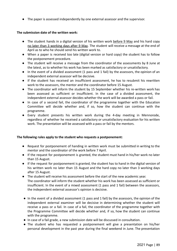● The paper is assessed independently by one external assessor and the supervisor.

#### **The submission date of the written work:**

- The student hands in a digital version of his written work before 9 May and his hard copy no later than 3 working days after 9 May. The student will receive a message at the end of April as to who he should send his written work to.
- When a paper is received too late (digital version or hard copy) the student has to follow the postponement procedure.
- The student will receive a message from the coordinator of the assessments by 8 June at the latest, as to whether his work has been marked as satisfactory or unsatisfactory.
- In the event of a divided assessment (1 pass and 1 fail) by the assessors, the opinion of an independent external assessor will be decisive.
- If the student has received an insufficient assessment, he has to resubmit his rewritten work to the assessors, the mentor and the coordinator before 15 August.
- The coordinator will inform the student by 15 September whether his re-written work has been assessed as sufficient or insufficient. In the case of a divided assessment, the independent external assessor decides whether the work will be awarded a pass or fail.
- In case of a second fail, the coordinator of the programme together with the Education Committee will decide whether and, if so, how the student can continue with the programme.
- Every student presents his written work during the 4-day meeting in Mennorode, regardless of whether he received a satisfactory or unsatisfactory evaluation for his written work. The presentation will be assessed with a pass or fail by the mentors.

#### **The following rules apply to the student who requests a postponement:**

- Request for postponement of handing in written work must be submitted in writing to the mentor and the coordinator of the work before 7 April.
- If the request for postponement is granted, the student must hand in his/her work no later than 15 August.
- If the request for postponement is granted, the student has to hand in the digital version of his written work no later than 15 August and the hard copy no later than 3 working days after 15 August.
- The student will receive his assessment before the start of the new academic year. The coordinator will inform the student whether his work has been assessed as sufficient or insufficient. In the event of a mixed assessment (1 pass and 1 fail) between the assessors, the independent external assessor's opinion is decisive.
- In the event of a divided assessment (1 pass and 1 fail) by the assessors, the opinion of the independent external examiner will be decisive in determining whether the student will receive a pass or a fail. In case of a fail, the coordinator of the programme together with the Programme Committee will decide whether and, if so, how the student can continue with the programme.
- In case of a fail grade, a new submission date will be discussed in consultation.
- The student who has requested a postponement will give a presentation on his/her personal development in the past year during the final weekend in June. The presentation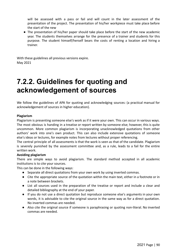will be assessed with a pass or fail and will count in the later assessment of the presentation of the project. The presentation of his/her workpiece must take place before the start of the new

● The presentation of his/her paper should take place before the start of the new academic year. The students themselves arrange for the presence of a trainer and students for this purpose. The student himself/herself bears the costs of renting a location and hiring a trainer.

With these guidelines all previous versions expire. May 2021

### **7.2.2. Guidelines for quoting and acknowledgement of sources**

We follow the guidelines of APA for quoting and acknowledging sources: (a practical manual for acknowledgement of sources in higher education).

#### **Plagiarism**

Plagiarism is presenting someone else's work as if it were your own. This can occur in various ways. The most obvious is handing in a treatise or report written by someone else; however, this is quite uncommon. More common plagiarism is incorporating unacknowledged quotations from other authors' work into one's own product. This can also include extensive quotations of someone else's ideas or lectures, for example notes from lectures without proper referencing.

The central principle of all assessments is that the work is seen as that of the candidate. Plagiarism is severely punished by the assessment committee and, as a rule, leads to a fail for the entire written work.

#### **Avoiding plagiarism**

There are simple ways to avoid plagiarism. The standard method accepted in all academic institutions is to cite your sources.

This can be done in the following ways:

- Separate all direct quotations from your own work by using inverted commas.
- Cite the appropriate source of the quotation within the main text, either in a footnote or in a note between brackets.
- List all sources used in the preparation of the treatise or report and include a clear and detailed bibliography at the end of your paper.
- If you do not use a direct quotation but reproduce someone else's arguments in your own words, it is advisable to cite the original source in the same way as for a direct quotation. No inverted commas are needed.
- Also cite the original source if someone is paraphrasing or quoting non-literal. No inverted commas are needed.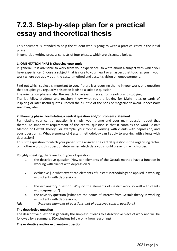# **7.2.3. Step-by-step plan for a practical essay and theoretical thesis**

This document is intended to help the student who is going to write a practical essay in the initial phase.

In general, a writing process consists of four phases, which are discussed below.

#### **1. ORIENTATION PHASE: Choosing your topic**

In general, it is advisable to work from your experience, so write about a subject with which you have experience. Choose a subject that is close to your heart or an aspect that touches you in your work where you apply both the gestalt method and gestalt's vision on empowerment.

Find out which subject is important to you. If there is a recurring theme in your work, or a question that occupies you regularly, this often leads to a suitable question.

The orientation phase is also the search for relevant theory, from reading and studying.

Tip: let fellow students and teachers know what you are looking for. Make notes or cards of inspiring or later useful quotes. Record the full title of the book or magazine to avoid unnecessary searching later.

#### **2. Planning phase: Formulating a central question and/or problem statement**

Formulating your central question is simply: your theme and your main question about that theme. An important requirement of the central question is that it contains the word Gestalt Method or Gestalt Theory. For example, your topic is working with clients with depression, and your question is: What elements of Gestalt methodology can I apply to working with clients with depression?

This is the question to which your paper is the answer. The central question is the organising factor, or in other words: this question determines which data you should present in which order.

Roughly speaking, there are four types of question:

- 1. the descriptive question (How can elements of the Gestalt method have a function in working with clients with depression?)
- 2. evaluative (To what extent can elements of Gestalt Methodology be applied in working with clients with depression?
- 3. the explanatory question (Why do the elements of Gestalt work so well with clients with depression?)
- 4. the advisory question (What are the points of interest from Gestalt theory in working with clients with depression?)
- *NB: these are examples of questions, not of approved central questions!*

#### **The descriptive question**

The descriptive question is generally the simplest. It leads to a descriptive piece of work and will be followed by a summary. (Conclusions follow only from reasoning)

#### **The evaluative and/or explanatory question**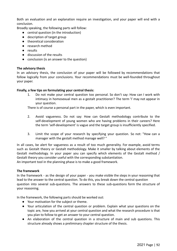Both an evaluation and an explanation require an investigation, and your paper will end with a conclusion.

Broadly speaking, the following parts will follow:

- central question (in the introduction)
- description of target group
- theoretical consideration
- research method
- results
- discussion of the results
- conclusion (is an answer to the question)

#### **The advisory thesis**

In an advisory thesis, the conclusion of your paper will be followed by recommendations that follow logically from your conclusions. Your recommendations must be well-founded throughout your paper.

#### **Finally, a few tips on formulating your central thesis:**

1. Do not make your central question too personal. So don't say: How can I work with intimacy in homosexual men as a gestalt practitioner? The term 'I' may not appear in your question.

There is of course a personal part in the paper, which is even important.

- 2. Avoid vagueness. Do not say: How can Gestalt methodology contribute to the self-development of young women who are having problems in their careers? Here the term 'self-development' is vague and the target group is insufficiently specified.
- 3. Limit the scope of your research by specifying your question. So not: "How can a manager with the gestalt method manage well? "

In all cases, be alert for vagueness as a result of too much generality. For example, avoid terms such as Gestalt theory or Gestalt methodology. Make it smaller by talking about elements of the Gestalt methodology. In your paper you can specify which elements of the Gestalt method / Gestalt theory you consider useful with the corresponding substantiation.

An important tool in the planning phase is to make a good framework.

#### **The framework**

In the framework - as the design of your paper - you make visible the steps in your reasoning that lead to the answer to the central question. To do this, you break down the central question question into several sub-questions. The answers to these sub-questions form the structure of your reasoning.

In the framework, the following parts should be worked out:

- Your motivation for the subject or theme.
- Your articulation of the central question or problem. Explain what your questions on the topic are, how you arrived at your central question and what the research procedure is that you plan to follow to get an answer to your central question.
- An elaboration of the central question in a structure of main and sub questions. This structure already shows a preliminary chapter structure of the thesis.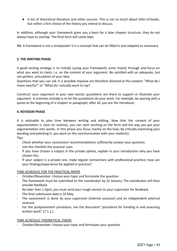● A list of theoretical literature and other sources. This is not so much about titles of books, but rather a first choice of the theory you intend to discuss.

In addition, although your framework gives you a basis for a later chapter structure, they do not always have to overlap. The final form will come later.

NB: A framework is not a straitjacket! It is a concept that can be filled in and adapted as necessary.

#### **3. THE WRITING PHASE**

A good writing strategy is to initially (using your framework) write mainly through and focus on what you want to claim, i.e. on the content of your argument. Be satisfied with an adequate, but not perfect, articulation of your idea.

Questions that you can ask in a possible impasse are therefore directed at the content: "What do I mean exactly?" or "What do I actually want to say?

Construct your argument in your own words; quotations are there to support or illustrate your argument. A common mistake is to let the quotations do your work. For example, be sparing with a quote at the beginning of a chapter or paragraph; after all, you are the introducer.

#### **4. REVISION PHASE**

It is advisable to plan time between writing and editing. Now that the content of your argumentation is clear (in outline), you can start working on the form and the way you put your argumentation into words. In this phase you focus mainly on the how: By critically examining your wording and polishing it, you work on the communication with your reader(s).

Tips:

- Check whether your conclusion/ recommendations sufficiently answer your question.
- Use the checklist the assessor uses.
- If you have chosen a subject in the private sphere, explain in your introduction why you have chosen this.
- If your subject is a private one, make regular connections with professional practice; how can your findings/experience be applied in practice?

#### TIME SCHEDULE FOR THE PRACTICAL PAPER

- October/November: choose your topic and formulate the question
- The framework must be submitted to the coordinator by 31 January. The coordinator will then provide feedback.
- No later than 1 April, you must send your rough version to your supervisor for feedback.
- The final submission date is 10 May.
- The assessment is done by your supervisor (internal assessor) and an independent external assessor.
- For the postponement procedure, see the document "procedure for handing in and assessing written work" (7.1.1.).

#### TIME SCHEDULE THEORETICAL THESIS

October/November: choose your topic and formulate your question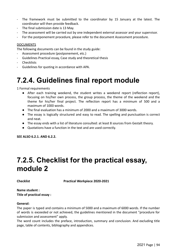- The framework must be submitted to the coordinator by 15 January at the latest. The coordinator will then provide feedback.
- The final submission date is 13 May.
- The assessment will be carried out by one independent external assessor and your supervisor.
- For the postponement procedure, please refer to the document Assessment procedure.

#### DOCUMENTS

The following documents can be found in the study guide:

- Assessment procedure (postponement, etc.)
- Guidelines Practical essay, Case study and theoretical thesis
- Checklists
- Guidelines for quoting in accordance with APA.

### **7.2.4. Guidelines final report module**

1 Formal requirements

- After each training weekend, the student writes a weekend report (reflection report), focusing on his/her own process, the group process, the theme of the weekend and the theme for his/her final project. The reflection report has a minimum of 500 and a maximum of 1000 words.
- The final evaluation has a minimum of 2000 and a maximum of 3000 words.
- The essay is logically structured and easy to read. The spelling and punctuation is correct and neat.
- The essay ends with a list of literature consulted: at least 8 sources from Gestalt theory.
- Quotations have a function in the text and are used correctly.

**SEE ALSO 6.2.1. AND 6.2.2.**

### **7.2.5. Checklist for the practical essay, module 2**

**Checklist Practical Workpiece 2020-2021**

#### **Name student : Title of practical essay :**

#### **General:**

The paper is typed and contains a minimum of 5000 and a maximum of 6000 words. If the number of words is exceeded or not achieved, the guidelines mentioned in the document "procedure for submission and assessment" apply.

The word count includes the preface, introduction, summary and conclusion. And excluding title page, table of contents, bibliography and appendices.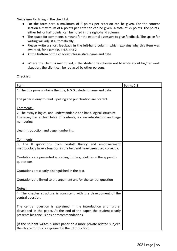Guidelines for filling in the checklist:

- For the form part, a maximum of 3 points per criterion can be given. For the content section a maximum of 6 points per criterion can be given. A total of 75 points. The points, either full or half points, can be noted in the right-hand column.
- The space for comments is meant for the external assessors to give feedback. The space for writing will adjust automatically.
- Please write a short feedback in the left-hand column which explains why this item was awarded, for example, a 4.5 or a 2.
- At the bottom of the checklist please state name and date.
- Where the client is mentioned, if the student has chosen not to write about his/her work situation, the client can be replaced by other persons.

Checklist:

| Form                                                                    | Points 0-3 |
|-------------------------------------------------------------------------|------------|
| 1. The title page contains the title, N.S.G., student name and date.    |            |
|                                                                         |            |
| The paper is easy to read. Spelling and punctuation are correct.        |            |
|                                                                         |            |
| Comments:                                                               |            |
| 2. The essay is logical and understandable and has a logical structure. |            |
| The essay has a clear table of contents, a clear introduction and page  |            |
| numbering.                                                              |            |
|                                                                         |            |
| clear introduction and page numbering.                                  |            |
|                                                                         |            |
| Comments:                                                               |            |
| 3. The 8 quotations from Gestalt theory and empowerment                 |            |
| methodology have a function in the text and have been used correctly:   |            |
| Quotations are presented according to the guidelines in the appendix    |            |
| quotations.                                                             |            |
|                                                                         |            |
| Quotations are clearly distinguished in the text.                       |            |
|                                                                         |            |
| Quotations are linked to the argument and/or the central question       |            |
|                                                                         |            |
| Notes;                                                                  |            |
| 4. The chapter structure is consistent with the development of the      |            |
| central question.                                                       |            |
|                                                                         |            |
| The central question is explained in the introduction and further       |            |
| developed in the paper. At the end of the paper, the student clearly    |            |
| presents his conclusions or recommendations.                            |            |
| (If the student writes his/her paper on a more private related subject, |            |
| the choice for this is explained in the introduction).                  |            |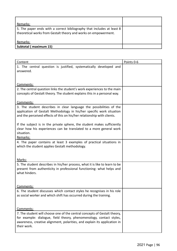| Remarks:                                                                                                                                  |  |
|-------------------------------------------------------------------------------------------------------------------------------------------|--|
| 5. The paper ends with a correct bibliography that includes at least 8<br>theoretical works from Gestalt theory and works on empowerment. |  |
| Remarks:                                                                                                                                  |  |
| Subtotal (maximum 15)                                                                                                                     |  |

| Content                                                                     | Points 0-6 |
|-----------------------------------------------------------------------------|------------|
| 1. The central question is justified, systematically developed and          |            |
| answered.                                                                   |            |
|                                                                             |            |
|                                                                             |            |
| Comments:                                                                   |            |
| 2. The central question links the student's work experiences to the main    |            |
| concepts of Gestalt theory. The student explains this in a personal way.    |            |
|                                                                             |            |
| Comments:                                                                   |            |
| 3. The student describes in clear language the possibilities of the         |            |
| application of Gestalt Methodology in his/her specific work situation       |            |
| and the perceived effects of this on his/her relationship with clients.     |            |
|                                                                             |            |
| If the subject is in the private sphere, the student makes sufficiently     |            |
| clear how his experiences can be translated to a more general work          |            |
| situation.                                                                  |            |
| Remarks:                                                                    |            |
| 4. The paper contains at least 3 examples of practical situations in        |            |
| which the student applies Gestalt methodology.                              |            |
|                                                                             |            |
|                                                                             |            |
| Marks:                                                                      |            |
| 5. The student describes in his/her process, what it is like to learn to be |            |
| present from authenticity in professional functioning: what helps and       |            |
| what hinders.                                                               |            |
|                                                                             |            |
|                                                                             |            |
| Comments:                                                                   |            |
| 6. The student discusses which contact styles he recognises in his role     |            |
| as social worker and which shift has occurred during the training.          |            |
|                                                                             |            |
|                                                                             |            |
| Comments:                                                                   |            |
| 7. The student will choose one of the central concepts of Gestalt theory,   |            |
| for example: dialogue, field theory, phenomenology, contact styles,         |            |
| awareness, creative alignment, polarities, and explain its application in   |            |
| their work.                                                                 |            |
|                                                                             |            |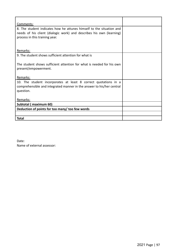| Comments:                                                                                                                                                                      |  |
|--------------------------------------------------------------------------------------------------------------------------------------------------------------------------------|--|
| 8. The student indicates how he attunes himself to the situation and<br>needs of his client (dialogic work) and describes his own (learning)<br>process in this training year. |  |
| Remarks:                                                                                                                                                                       |  |
| 9. The student shows sufficient attention for what is                                                                                                                          |  |
| The student shows sufficient attention for what is needed for his own<br>present/empowerment.                                                                                  |  |
| Remarks:                                                                                                                                                                       |  |
| 10. The student incorporates at least 8 correct quotations in a<br>comprehensible and integrated manner in the answer to his/her central<br>question.                          |  |
| Remarks:                                                                                                                                                                       |  |
| Subtotal (maximum 60)                                                                                                                                                          |  |
| Deduction of points for too many/ too few words                                                                                                                                |  |
|                                                                                                                                                                                |  |
| <b>Total</b>                                                                                                                                                                   |  |

Date: Name of external assessor: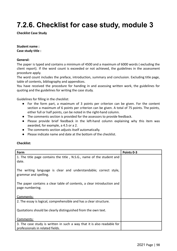# **7.2.6. Checklist for case study, module 3**

**Checklist Case Study**

#### **Student name :**

**Case study title :**

#### **General:**

The paper is typed and contains a minimum of 4500 and a maximum of 6000 words ( excluding the client report). If the word count is exceeded or not achieved, the guidelines in the assessment procedure apply.

The word count includes the preface, introduction, summary and conclusion. Excluding title page, table of contents, bibliography and appendices.

You have received the procedure for handing in and assessing written work, the guidelines for quoting and the guidelines for writing the case study.

Guidelines for filling in the checklist:

- For the form part, a maximum of 3 points per criterion can be given. For the content section a maximum of 6 points per criterion can be given. A total of 75 points. The points, either full or half points, can be noted in the right-hand column.
- The comments section is provided for the assessors to provide feedback.
- Please provide brief feedback in the left-hand column explaining why this item was awarded, for example, a 4.5 or a 2.
- The comments section adjusts itself automatically.
- Please indicate name and date at the bottom of the checklist.

#### **Checklist:**

| Form                                                                                      | Points 0-3 |
|-------------------------------------------------------------------------------------------|------------|
| 1. The title page contains the title, N.S.G., name of the student and<br>date.            |            |
| The writing language is clear and understandable; correct style,<br>grammar and spelling. |            |
| The paper contains a clear table of contents, a clear introduction and<br>page numbering. |            |
| Comments:                                                                                 |            |
| 2. The essay is logical, comprehensible and has a clear structure.                        |            |
| Quotations should be clearly distinguished from the own text.                             |            |
| Comments:                                                                                 |            |
| 3. The case study is written in such a way that it is also readable for                   |            |
| professionals in related fields.                                                          |            |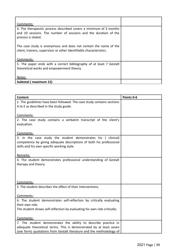| Comments:                                                                                                                                                  |  |
|------------------------------------------------------------------------------------------------------------------------------------------------------------|--|
| 4. The therapeutic process described covers a minimum of 3 months<br>and 10 sessions. The number of sessions and the duration of the<br>process is stated. |  |
| The case study is anonymous and does not contain the name of the<br>client, trainers, supervisor or other identifiable characteristics.                    |  |
| Comments:                                                                                                                                                  |  |
| 5. The paper ends with a correct bibliography of at least 7 Gestalt<br>theoretical works and empowerment theory.                                           |  |
| Notes:                                                                                                                                                     |  |
| Subtotal (maximum 15)                                                                                                                                      |  |

| <b>Content</b>                                                                                                    | Points 0-6 |
|-------------------------------------------------------------------------------------------------------------------|------------|
| 1. The guidelines have been followed. The case study contains sections<br>A to E as described in the study guide. |            |
|                                                                                                                   |            |
| Comments:                                                                                                         |            |
| 2. The case study contains a verbatim transcript of the client's<br>evaluation.                                   |            |
|                                                                                                                   |            |
| Comments:                                                                                                         |            |
| 3. In the case study the student demonstrates his ( clinical)                                                     |            |
| competence by giving adequate descriptions of both his professional                                               |            |
| skills and his own specific working style.                                                                        |            |
| Remarks:                                                                                                          |            |
| 4. The student demonstrates professional understanding of Gestalt                                                 |            |
| therapy and theory.                                                                                               |            |
|                                                                                                                   |            |
|                                                                                                                   |            |
| Comments:                                                                                                         |            |
| 5. The student describes the effect of their interventions.                                                       |            |
|                                                                                                                   |            |
| Comments:                                                                                                         |            |
| 6. The student demonstrates self-reflection by critically evaluating                                              |            |
| their own role.                                                                                                   |            |
| The student shows self-reflection by evaluating his own role critically:                                          |            |
| Comments:                                                                                                         |            |
| 7. The student demonstrates the ability to describe practice in                                                   |            |
| adequate theoretical terms. This is demonstrated by at least seven                                                |            |
| (see form) quotations from Gestalt literature and the methodology of                                              |            |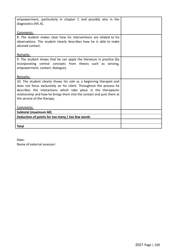| empowerment, particularly in chapter C and possibly also in the<br>diagnostics (hfs A).                                                                                                                                                                                                                              |  |
|----------------------------------------------------------------------------------------------------------------------------------------------------------------------------------------------------------------------------------------------------------------------------------------------------------------------|--|
| Comments:                                                                                                                                                                                                                                                                                                            |  |
| 8. The student makes clear how his interventions are related to his<br>observations. The student clearly describes how he is able to make<br>attuned contact.                                                                                                                                                        |  |
| Remarks:                                                                                                                                                                                                                                                                                                             |  |
| 9. The student shows that he can apply the literature in practice (by<br>incorporating central concepts from theory such as sensing,<br>empowerment, contact, dialogue).                                                                                                                                             |  |
| Remarks:                                                                                                                                                                                                                                                                                                             |  |
| 10. The student clearly shows his role as a beginning therapist and<br>does not focus exclusively on his client. Throughout the process he<br>describes the interactions which take place in the therapeutic<br>relationship and how he brings them into the contact and puts them at<br>the service of the therapy. |  |
| Comments:                                                                                                                                                                                                                                                                                                            |  |
| Subtotal (maximum 60)                                                                                                                                                                                                                                                                                                |  |
| Deduction of points for too many / too few words                                                                                                                                                                                                                                                                     |  |
|                                                                                                                                                                                                                                                                                                                      |  |
| <b>Total</b>                                                                                                                                                                                                                                                                                                         |  |

Date:

Name of external assessor: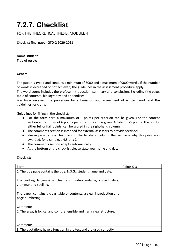# **7.2.7. Checklist**

FOR THE THEORETICAL THESIS, MODULE 4

#### **Checklist final paper GTO-2 2020-2021**

**Name student : Title of essay:**

#### **General:**

The paper is typed and contains a minimum of 6000 and a maximum of 9000 words. If the number of words is exceeded or not achieved, the guidelines in the assessment procedure apply.

The word count includes the preface, introduction, summary and conclusion. Excluding title page, table of contents, bibliography and appendices.

You have received the procedure for submission and assessment of written work and the guidelines for citing.

Guidelines for filling in the checklist:

- For the form part, a maximum of 3 points per criterion can be given. For the content section a maximum of 6 points per criterion can be given. A total of 75 points. The points, either full or half points, can be scored in the right-hand column.
- The comments section is intended for external assessors to provide feedback.
- Please provide brief feedback in the left-hand column that explains why this point was awarded, for example, a 4.5 or a 2.
- The comments section adapts automatically.
- At the bottom of the checklist please state your name and date.

#### **Checklist:**

| <b>Form</b>                                                                               | Points 0-3 |
|-------------------------------------------------------------------------------------------|------------|
| 1. The title page contains the title, N.S.G., student name and date.                      |            |
| The writing language is clear and understandable; correct style,<br>grammar and spelling. |            |
| The paper contains a clear table of contents, a clear introduction and<br>page numbering. |            |
| Comments:                                                                                 |            |
| 2. The essay is logical and comprehensible and has a clear structure.                     |            |
| Comments:                                                                                 |            |
| 3. The quotations have a function in the text and are used correctly.                     |            |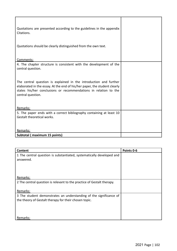| Quotations are presented according to the guidelines in the appendix<br>Citations.                                                                                                                                                                                                                                                 |  |
|------------------------------------------------------------------------------------------------------------------------------------------------------------------------------------------------------------------------------------------------------------------------------------------------------------------------------------|--|
| Quotations should be clearly distinguished from the own text.                                                                                                                                                                                                                                                                      |  |
| Comments:                                                                                                                                                                                                                                                                                                                          |  |
| 4. The chapter structure is consistent with the development of the<br>central question.<br>The central question is explained in the introduction and further<br>elaborated in the essay. At the end of his/her paper, the student clearly<br>states his/her conclusions or recommendations in relation to the<br>central question. |  |
| Remarks:                                                                                                                                                                                                                                                                                                                           |  |
| 5. The paper ends with a correct bibliography containing at least 10<br>Gestalt theoretical works.                                                                                                                                                                                                                                 |  |
| Remarks:                                                                                                                                                                                                                                                                                                                           |  |
| Subtotal (maximum 15 points)                                                                                                                                                                                                                                                                                                       |  |

| Content                                                                | Points 0-6 |
|------------------------------------------------------------------------|------------|
| 1 The central question is substantiated, systematically developed and  |            |
| answered.                                                              |            |
|                                                                        |            |
|                                                                        |            |
|                                                                        |            |
| Remarks:                                                               |            |
| 2 The central question is relevant to the practice of Gestalt therapy. |            |
|                                                                        |            |
| Remarks:                                                               |            |
| 3 The student demonstrates an understanding of the significance of     |            |
| the theory of Gestalt therapy for their chosen topic.                  |            |
|                                                                        |            |
|                                                                        |            |
|                                                                        |            |
| Remarks:                                                               |            |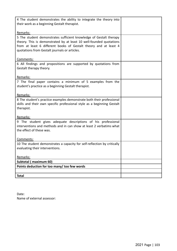| 4 The student demonstrates the ability to integrate the theory into<br>their work as a beginning Gestalt therapist.                                                                                                                                            |  |
|----------------------------------------------------------------------------------------------------------------------------------------------------------------------------------------------------------------------------------------------------------------|--|
| Remarks:                                                                                                                                                                                                                                                       |  |
| 5 The student demonstrates sufficient knowledge of Gestalt therapy<br>theory. This is demonstrated by at least 10 well-founded quotations<br>from at least 6 different books of Gestalt theory and at least 4<br>quotations from Gestalt journals or articles. |  |
| Comments:                                                                                                                                                                                                                                                      |  |
| 6 All findings and propositions are supported by quotations from<br>Gestalt therapy theory.                                                                                                                                                                    |  |
| Remarks:                                                                                                                                                                                                                                                       |  |
| 7 The final paper contains a minimum of 5 examples from the<br>student's practice as a beginning Gestalt therapist.                                                                                                                                            |  |
| Remarks:                                                                                                                                                                                                                                                       |  |
| 8 The student's practice examples demonstrate both their professional<br>skills and their own specific professional style as a beginning Gestalt<br>therapist.                                                                                                 |  |
| Remarks:                                                                                                                                                                                                                                                       |  |
| 9 The student gives adequate descriptions of his professional<br>interventions and methods and in can show at least 2 verbatims what<br>the effect of these was.<br>Comments:                                                                                  |  |
| 10 The student demonstrates a capacity for self-reflection by critically                                                                                                                                                                                       |  |
| evaluating their interventions.                                                                                                                                                                                                                                |  |
| Remarks:                                                                                                                                                                                                                                                       |  |
| Subtotal (maximum 60)                                                                                                                                                                                                                                          |  |
| Points deduction for too many/ too few words                                                                                                                                                                                                                   |  |
| <b>Total</b>                                                                                                                                                                                                                                                   |  |

Date: Name of external assessor: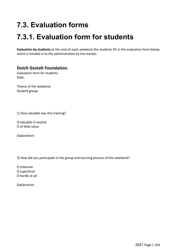# **7.3. Evaluation forms**

# **7.3.1. Evaluation form for students**

**Evaluation by students:**at the end of each weekend the students fill in the evaluation form below, which is handed in to the administration by the mentor.

#### **Dutch Gestalt Foundation.**

Evaluation form for students Date:

Theme of the weekend: Student group:

1) How valuable was this training?

O valuable O neutral O of little value

Explanation:

2) How did you participate in the group and learning process of this weekend?

O intensive

O superficial

O hardly at all

Explanation: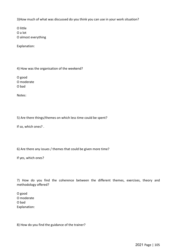3)How much of what was discussed do you think you can use in your work situation?

O little O a lot O almost everything

Explanation:

4) How was the organisation of the weekend?

O good O moderate O bad

Notes:

5) Are there things/themes on which less time could be spent?

If so, which ones? .

6) Are there any issues / themes that could be given more time?

If yes, which ones?

7) How do you find the coherence between the different themes, exercises, theory and methodology offered?

O good O moderate O bad Explanation:

8) How do you find the guidance of the trainer?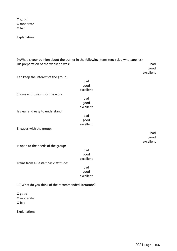O good O moderate O bad

Explanation:

9)What is your opinion about the trainer in the following items (encircled what applies) His preparation of the weekend was: bad

good excellent

Can keep the interest of the group:

|                                                      | bad       |           |  |
|------------------------------------------------------|-----------|-----------|--|
|                                                      | good      |           |  |
|                                                      | excellent |           |  |
| Shows enthusiasm for the work:                       |           |           |  |
|                                                      | bad       |           |  |
|                                                      | good      |           |  |
|                                                      | excellent |           |  |
| Is clear and easy to understand:                     |           |           |  |
|                                                      | bad       |           |  |
|                                                      | good      |           |  |
|                                                      | excellent |           |  |
| Engages with the group:                              |           |           |  |
|                                                      |           | bad       |  |
|                                                      |           | good      |  |
|                                                      |           | excellent |  |
| Is open to the needs of the group:                   |           |           |  |
|                                                      | bad       |           |  |
|                                                      | good      |           |  |
|                                                      | excellent |           |  |
| Trains from a Gestalt basic attitude:                |           |           |  |
|                                                      | bad       |           |  |
|                                                      | good      |           |  |
|                                                      | excellent |           |  |
| 10) What do you think of the recommended literature? |           |           |  |
| O good                                               |           |           |  |

O moderate O bad

Explanation: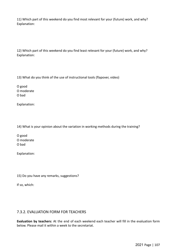11) Which part of this weekend do you find most relevant for your (future) work, and why? Explanation:

12) Which part of this weekend do you find least relevant for your (future) work, and why? Explanation:

13) What do you think of the use of instructional tools (flapover, video)

O good O moderate O bad

Explanation:

14) What is your opinion about the variation in working methods during the training?

O good O moderate O bad

Explanation:

15) Do you have any remarks, suggestions?

If so, which:

#### 7.3.2. EVALUATION FORM FOR TEACHERS

**Evaluation by teachers:** At the end of each weekend each teacher will fill in the evaluation form below. Please mail it within a week to the secretariat.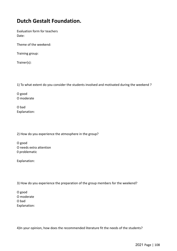### **Dutch Gestalt Foundation.**

Evaluation form for teachers Date:

Theme of the weekend:

Training group:

Trainer(s):

1) To what extent do you consider the students involved and motivated during the weekend ?

O good O moderate

O bad Explanation:

2) How do you experience the atmosphere in the group?

O good O needs extra attention 0 problematic

Explanation:

3) How do you experience the preparation of the group members for the weekend?

O good O moderate O bad Explanation:

4)In your opinion, how does the recommended literature fit the needs of the students?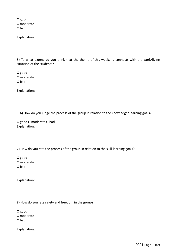O good O moderate O bad

Explanation:

5) To what extent do you think that the theme of this weekend connects with the work/living situation of the students?

O good O moderate O bad

Explanation:

6) How do you judge the process of the group in relation to the knowledge/ learning goals?

O good O moderate O bad Explanation:

7) How do you rate the process of the group in relation to the skill-learning goals?

O good O moderate O bad

Explanation:

8) How do you rate safety and freedom in the group?

O good

O moderate

O bad

Explanation: